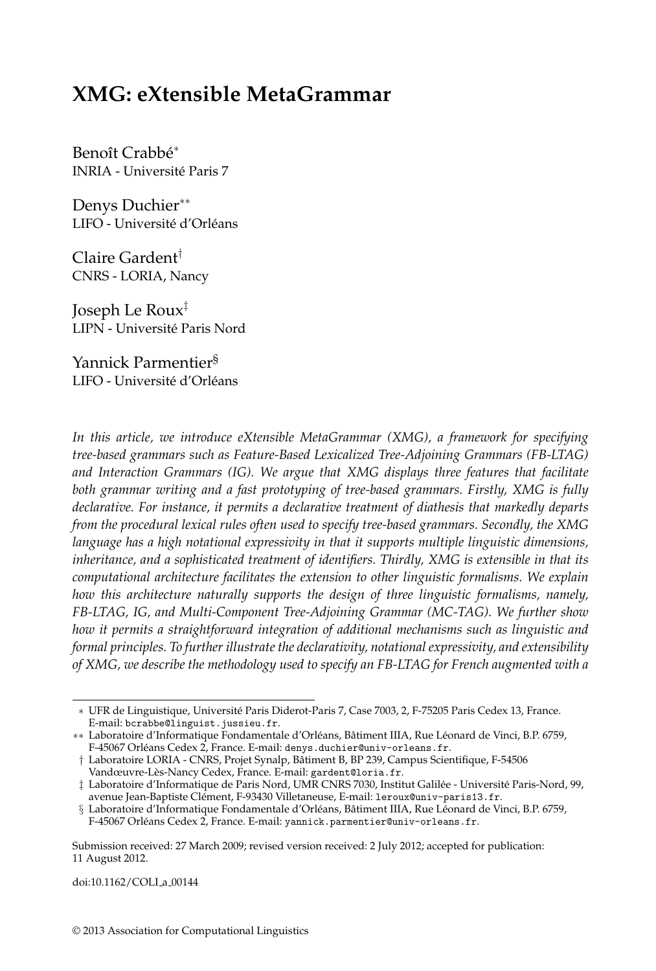# **XMG: eXtensible MetaGrammar**

Benoît Crabbé\* INRIA - Universite Paris 7 ´

Denys Duchier<sup>\*\*</sup> LIFO - Université d'Orléans

Claire Gardent† CNRS - LORIA, Nancy

Joseph Le Roux‡ LIPN - Universite Paris Nord ´

Yannick Parmentier§ LIFO - Université d'Orléans

*In this article, we introduce eXtensible MetaGrammar (XMG), a framework for specifying tree-based grammars such as Feature-Based Lexicalized Tree-Adjoining Grammars (FB-LTAG) and Interaction Grammars (IG). We argue that XMG displays three features that facilitate both grammar writing and a fast prototyping of tree-based grammars. Firstly, XMG is fully declarative. For instance, it permits a declarative treatment of diathesis that markedly departs from the procedural lexical rules often used to specify tree-based grammars. Secondly, the XMG language has a high notational expressivity in that it supports multiple linguistic dimensions, inheritance, and a sophisticated treatment of identifiers. Thirdly, XMG is extensible in that its computational architecture facilitates the extension to other linguistic formalisms. We explain how this architecture naturally supports the design of three linguistic formalisms, namely, FB-LTAG, IG, and Multi-Component Tree-Adjoining Grammar (MC-TAG). We further show how it permits a straightforward integration of additional mechanisms such as linguistic and formal principles. To further illustrate the declarativity, notational expressivity, and extensibility of XMG, we describe the methodology used to specify an FB-LTAG for French augmented with a*

doi:10.1162/COLI a 00144

<sup>∗</sup> UFR de Linguistique, Universite Paris Diderot-Paris 7, Case 7003, 2, F-75205 Paris Cedex 13, France. ´ E-mail: bcrabbe@linguist.jussieu.fr.

<sup>∗∗</sup> Laboratoire d'Informatique Fondamentale d'Orléans, Bâtiment IIIA, Rue Léonard de Vinci, B.P. 6759, F-45067 Orléans Cedex 2, France. E-mail: denys.duchier@univ-orleans.fr.

<sup>†</sup> Laboratoire LORIA - CNRS, Projet Synalp, Batiment B, BP 239, Campus Scientifique, F-54506 ˆ Vandœuvre-Lès-Nancy Cedex, France. E-mail: gardent@loria.fr.

 $\ddagger$  Laboratoire d'Informatique de Paris Nord, UMR CNRS 7030, Institut Galilée - Université Paris-Nord, 99, avenue Jean-Baptiste Clément, F-93430 Villetaneuse, E-mail: leroux@univ-paris13.fr.

<sup>§</sup> Laboratoire d'Informatique Fondamentale d'Orléans, Bâtiment IIIA, Rue Léonard de Vinci, B.P. 6759, F-45067 Orléans Cedex 2, France. E-mail: yannick.parmentier@univ-orleans.fr.

Submission received: 27 March 2009; revised version received: 2 July 2012; accepted for publication: 11 August 2012.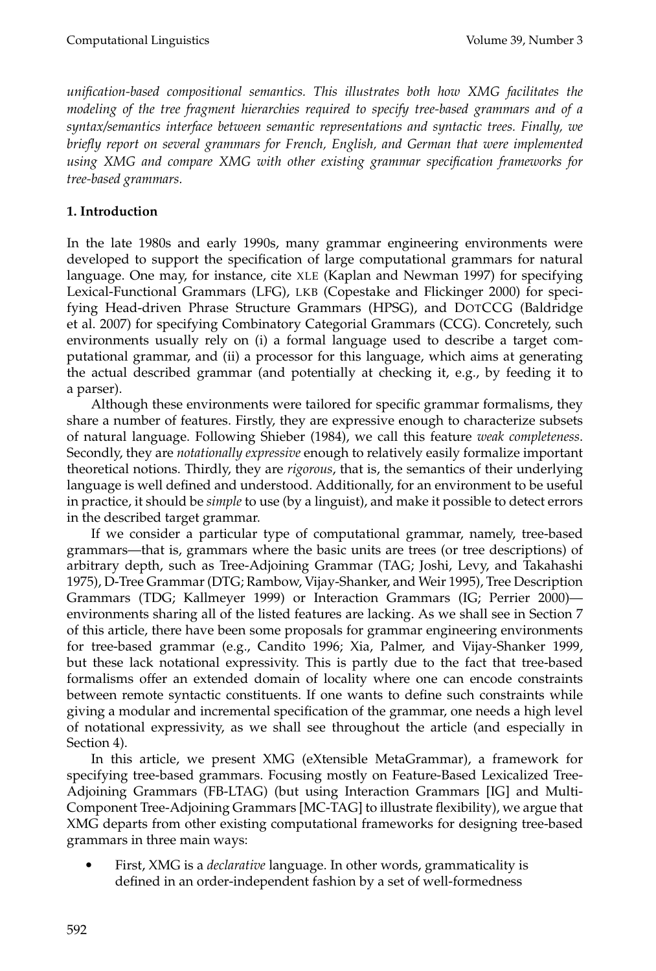*unification-based compositional semantics. This illustrates both how XMG facilitates the modeling of the tree fragment hierarchies required to specify tree-based grammars and of a syntax/semantics interface between semantic representations and syntactic trees. Finally, we briefly report on several grammars for French, English, and German that were implemented using XMG and compare XMG with other existing grammar specification frameworks for tree-based grammars.*

## **1. Introduction**

In the late 1980s and early 1990s, many grammar engineering environments were developed to support the specification of large computational grammars for natural language. One may, for instance, cite XLE (Kaplan and Newman 1997) for specifying Lexical-Functional Grammars (LFG), LKB (Copestake and Flickinger 2000) for specifying Head-driven Phrase Structure Grammars (HPSG), and DOTCCG (Baldridge et al. 2007) for specifying Combinatory Categorial Grammars (CCG). Concretely, such environments usually rely on (i) a formal language used to describe a target computational grammar, and (ii) a processor for this language, which aims at generating the actual described grammar (and potentially at checking it, e.g., by feeding it to a parser).

Although these environments were tailored for specific grammar formalisms, they share a number of features. Firstly, they are expressive enough to characterize subsets of natural language. Following Shieber (1984), we call this feature *weak completeness*. Secondly, they are *notationally expressive* enough to relatively easily formalize important theoretical notions. Thirdly, they are *rigorous*, that is, the semantics of their underlying language is well defined and understood. Additionally, for an environment to be useful in practice, it should be *simple* to use (by a linguist), and make it possible to detect errors in the described target grammar.

If we consider a particular type of computational grammar, namely, tree-based grammars—that is, grammars where the basic units are trees (or tree descriptions) of arbitrary depth, such as Tree-Adjoining Grammar (TAG; Joshi, Levy, and Takahashi 1975), D-Tree Grammar (DTG; Rambow, Vijay-Shanker, and Weir 1995), Tree Description Grammars (TDG; Kallmeyer 1999) or Interaction Grammars (IG; Perrier 2000) environments sharing all of the listed features are lacking. As we shall see in Section 7 of this article, there have been some proposals for grammar engineering environments for tree-based grammar (e.g., Candito 1996; Xia, Palmer, and Vijay-Shanker 1999, but these lack notational expressivity. This is partly due to the fact that tree-based formalisms offer an extended domain of locality where one can encode constraints between remote syntactic constituents. If one wants to define such constraints while giving a modular and incremental specification of the grammar, one needs a high level of notational expressivity, as we shall see throughout the article (and especially in Section 4).

In this article, we present XMG (eXtensible MetaGrammar), a framework for specifying tree-based grammars. Focusing mostly on Feature-Based Lexicalized Tree-Adjoining Grammars (FB-LTAG) (but using Interaction Grammars [IG] and Multi-Component Tree-Adjoining Grammars [MC-TAG] to illustrate flexibility), we argue that XMG departs from other existing computational frameworks for designing tree-based grammars in three main ways:

- First, XMG is a *declarative* language. In other words, grammaticality is defined in an order-independent fashion by a set of well-formedness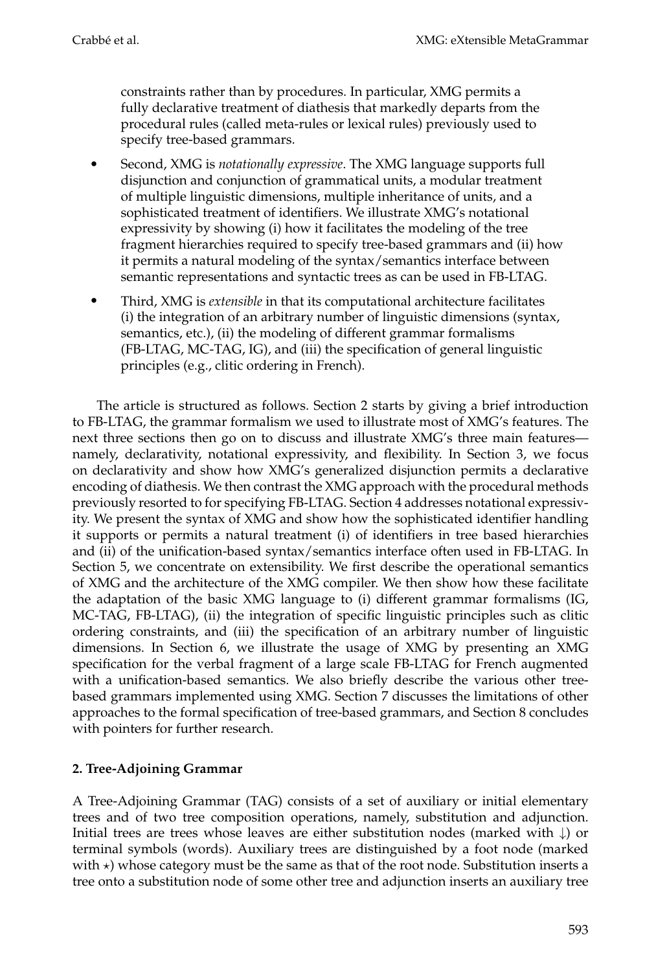constraints rather than by procedures. In particular, XMG permits a fully declarative treatment of diathesis that markedly departs from the procedural rules (called meta-rules or lexical rules) previously used to specify tree-based grammars.

- - Second, XMG is *notationally expressive*. The XMG language supports full disjunction and conjunction of grammatical units, a modular treatment of multiple linguistic dimensions, multiple inheritance of units, and a sophisticated treatment of identifiers. We illustrate XMG's notational expressivity by showing (i) how it facilitates the modeling of the tree fragment hierarchies required to specify tree-based grammars and (ii) how it permits a natural modeling of the syntax/semantics interface between semantic representations and syntactic trees as can be used in FB-LTAG.
- - Third, XMG is *extensible* in that its computational architecture facilitates (i) the integration of an arbitrary number of linguistic dimensions (syntax, semantics, etc.), (ii) the modeling of different grammar formalisms (FB-LTAG, MC-TAG, IG), and (iii) the specification of general linguistic principles (e.g., clitic ordering in French).

The article is structured as follows. Section 2 starts by giving a brief introduction to FB-LTAG, the grammar formalism we used to illustrate most of XMG's features. The next three sections then go on to discuss and illustrate XMG's three main features namely, declarativity, notational expressivity, and flexibility. In Section 3, we focus on declarativity and show how XMG's generalized disjunction permits a declarative encoding of diathesis. We then contrast the XMG approach with the procedural methods previously resorted to for specifying FB-LTAG. Section 4 addresses notational expressivity. We present the syntax of XMG and show how the sophisticated identifier handling it supports or permits a natural treatment (i) of identifiers in tree based hierarchies and (ii) of the unification-based syntax/semantics interface often used in FB-LTAG. In Section 5, we concentrate on extensibility. We first describe the operational semantics of XMG and the architecture of the XMG compiler. We then show how these facilitate the adaptation of the basic XMG language to (i) different grammar formalisms (IG, MC-TAG, FB-LTAG), (ii) the integration of specific linguistic principles such as clitic ordering constraints, and (iii) the specification of an arbitrary number of linguistic dimensions. In Section 6, we illustrate the usage of XMG by presenting an XMG specification for the verbal fragment of a large scale FB-LTAG for French augmented with a unification-based semantics. We also briefly describe the various other treebased grammars implemented using XMG. Section 7 discusses the limitations of other approaches to the formal specification of tree-based grammars, and Section 8 concludes with pointers for further research.

## **2. Tree-Adjoining Grammar**

A Tree-Adjoining Grammar (TAG) consists of a set of auxiliary or initial elementary trees and of two tree composition operations, namely, substitution and adjunction. Initial trees are trees whose leaves are either substitution nodes (marked with  $\downarrow$ ) or terminal symbols (words). Auxiliary trees are distinguished by a foot node (marked with  $\star$ ) whose category must be the same as that of the root node. Substitution inserts a tree onto a substitution node of some other tree and adjunction inserts an auxiliary tree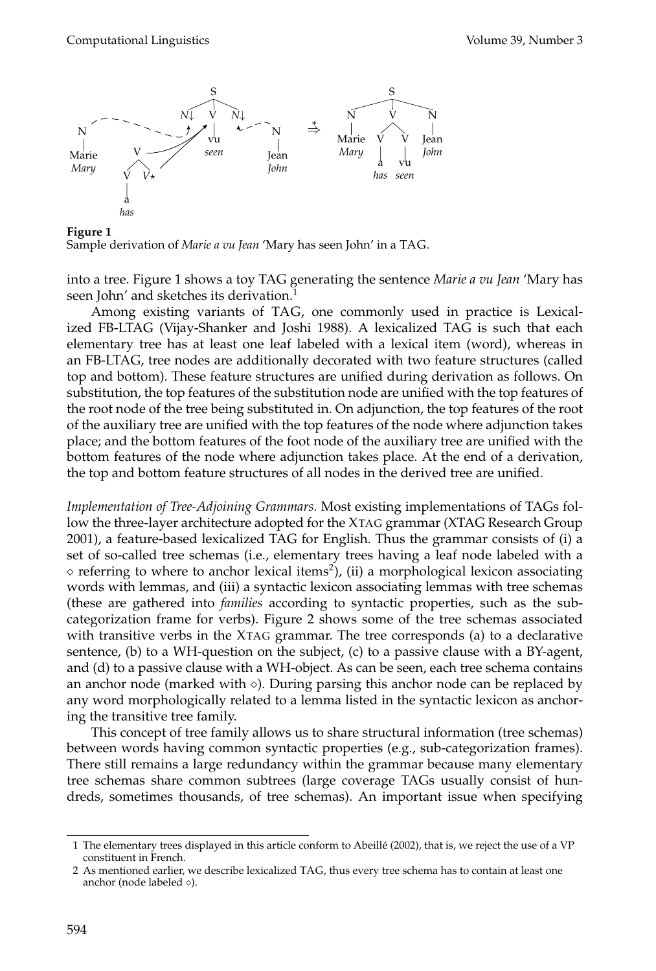

**Figure 1** Sample derivation of *Marie a vu Jean* 'Mary has seen John' in a TAG.

into a tree. Figure 1 shows a toy TAG generating the sentence *Marie a vu Jean* 'Mary has seen John' and sketches its derivation.

Among existing variants of TAG, one commonly used in practice is Lexicalized FB-LTAG (Vijay-Shanker and Joshi 1988). A lexicalized TAG is such that each elementary tree has at least one leaf labeled with a lexical item (word), whereas in an FB-LTAG, tree nodes are additionally decorated with two feature structures (called top and bottom). These feature structures are unified during derivation as follows. On substitution, the top features of the substitution node are unified with the top features of the root node of the tree being substituted in. On adjunction, the top features of the root of the auxiliary tree are unified with the top features of the node where adjunction takes place; and the bottom features of the foot node of the auxiliary tree are unified with the bottom features of the node where adjunction takes place. At the end of a derivation, the top and bottom feature structures of all nodes in the derived tree are unified.

*Implementation of Tree-Adjoining Grammars.* Most existing implementations of TAGs follow the three-layer architecture adopted for the XTAG grammar (XTAG Research Group 2001), a feature-based lexicalized TAG for English. Thus the grammar consists of (i) a set of so-called tree schemas (i.e., elementary trees having a leaf node labeled with a  $\circ$  referring to where to anchor lexical items<sup>2</sup>), (ii) a morphological lexicon associating words with lemmas, and (iii) a syntactic lexicon associating lemmas with tree schemas (these are gathered into *families* according to syntactic properties, such as the subcategorization frame for verbs). Figure 2 shows some of the tree schemas associated with transitive verbs in the XTAG grammar. The tree corresponds (a) to a declarative sentence, (b) to a WH-question on the subject, (c) to a passive clause with a BY-agent, and (d) to a passive clause with a WH-object. As can be seen, each tree schema contains an anchor node (marked with  $\Diamond$ ). During parsing this anchor node can be replaced by any word morphologically related to a lemma listed in the syntactic lexicon as anchoring the transitive tree family.

This concept of tree family allows us to share structural information (tree schemas) between words having common syntactic properties (e.g., sub-categorization frames). There still remains a large redundancy within the grammar because many elementary tree schemas share common subtrees (large coverage TAGs usually consist of hundreds, sometimes thousands, of tree schemas). An important issue when specifying

<sup>1</sup> The elementary trees displayed in this article conform to Abeille (2002), that is, we reject the use of a VP ´ constituent in French.

<sup>2</sup> As mentioned earlier, we describe lexicalized TAG, thus every tree schema has to contain at least one anchor (node labeled  $\diamond$ ).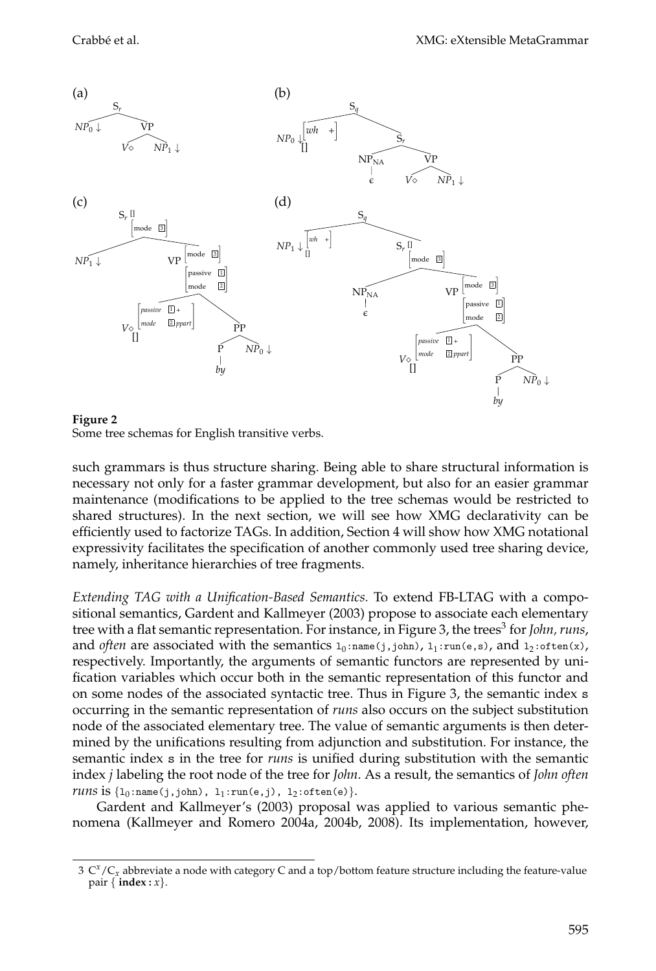

#### **Figure 2** Some tree schemas for English transitive verbs.

such grammars is thus structure sharing. Being able to share structural information is necessary not only for a faster grammar development, but also for an easier grammar maintenance (modifications to be applied to the tree schemas would be restricted to shared structures). In the next section, we will see how XMG declarativity can be efficiently used to factorize TAGs. In addition, Section 4 will show how XMG notational expressivity facilitates the specification of another commonly used tree sharing device, namely, inheritance hierarchies of tree fragments.

*Extending TAG with a Unification-Based Semantics.* To extend FB-LTAG with a compositional semantics, Gardent and Kallmeyer (2003) propose to associate each elementary tree with a flat semantic representation. For instance, in Figure 3, the trees<sup>3</sup> for *John*, *runs*, and *often* are associated with the semantics  $1_0:$ name(j,john),  $1_1:$ run(e,s), and  $1_2:$ often(x), respectively. Importantly, the arguments of semantic functors are represented by unification variables which occur both in the semantic representation of this functor and on some nodes of the associated syntactic tree. Thus in Figure 3, the semantic index s occurring in the semantic representation of *runs* also occurs on the subject substitution node of the associated elementary tree. The value of semantic arguments is then determined by the unifications resulting from adjunction and substitution. For instance, the semantic index s in the tree for *runs* is unified during substitution with the semantic index *j* labeling the root node of the tree for *John*. As a result, the semantics of *John often runs* is  $\{l_0:name(j,john), l_1:run(e,j), l_2:often(e)\}.$ 

Gardent and Kallmeyer's (2003) proposal was applied to various semantic phenomena (Kallmeyer and Romero 2004a, 2004b, 2008). Its implementation, however,

 $3 \, \mathrm{C}^x/\mathrm{C}_x$  abbreviate a node with category C and a top/bottom feature structure including the feature-value pair { **index :** *x*}.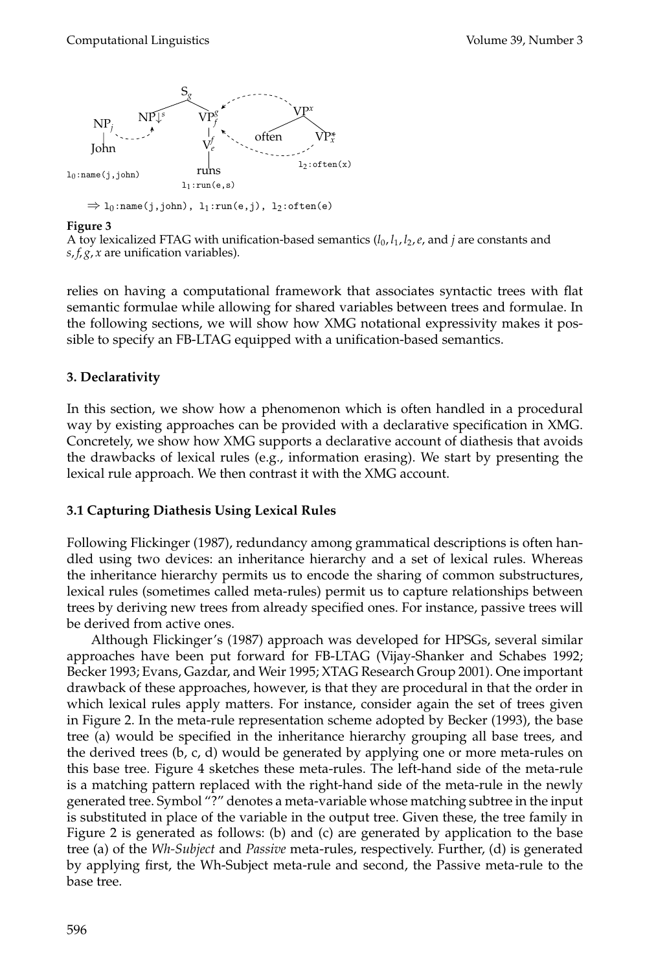

### **Figure 3**

A toy lexicalized FTAG with unification-based semantics  $(l_0, l_1, l_2, e$ , and *j* are constants and *s*, *f*, *g*, *x* are unification variables).

relies on having a computational framework that associates syntactic trees with flat semantic formulae while allowing for shared variables between trees and formulae. In the following sections, we will show how XMG notational expressivity makes it possible to specify an FB-LTAG equipped with a unification-based semantics.

## **3. Declarativity**

In this section, we show how a phenomenon which is often handled in a procedural way by existing approaches can be provided with a declarative specification in XMG. Concretely, we show how XMG supports a declarative account of diathesis that avoids the drawbacks of lexical rules (e.g., information erasing). We start by presenting the lexical rule approach. We then contrast it with the XMG account.

## **3.1 Capturing Diathesis Using Lexical Rules**

Following Flickinger (1987), redundancy among grammatical descriptions is often handled using two devices: an inheritance hierarchy and a set of lexical rules. Whereas the inheritance hierarchy permits us to encode the sharing of common substructures, lexical rules (sometimes called meta-rules) permit us to capture relationships between trees by deriving new trees from already specified ones. For instance, passive trees will be derived from active ones.

Although Flickinger's (1987) approach was developed for HPSGs, several similar approaches have been put forward for FB-LTAG (Vijay-Shanker and Schabes 1992; Becker 1993; Evans, Gazdar, and Weir 1995; XTAG Research Group 2001). One important drawback of these approaches, however, is that they are procedural in that the order in which lexical rules apply matters. For instance, consider again the set of trees given in Figure 2. In the meta-rule representation scheme adopted by Becker (1993), the base tree (a) would be specified in the inheritance hierarchy grouping all base trees, and the derived trees (b, c, d) would be generated by applying one or more meta-rules on this base tree. Figure 4 sketches these meta-rules. The left-hand side of the meta-rule is a matching pattern replaced with the right-hand side of the meta-rule in the newly generated tree. Symbol "?" denotes a meta-variable whose matching subtree in the input is substituted in place of the variable in the output tree. Given these, the tree family in Figure 2 is generated as follows: (b) and (c) are generated by application to the base tree (a) of the *Wh-Subject* and *Passive* meta-rules, respectively. Further, (d) is generated by applying first, the Wh-Subject meta-rule and second, the Passive meta-rule to the base tree.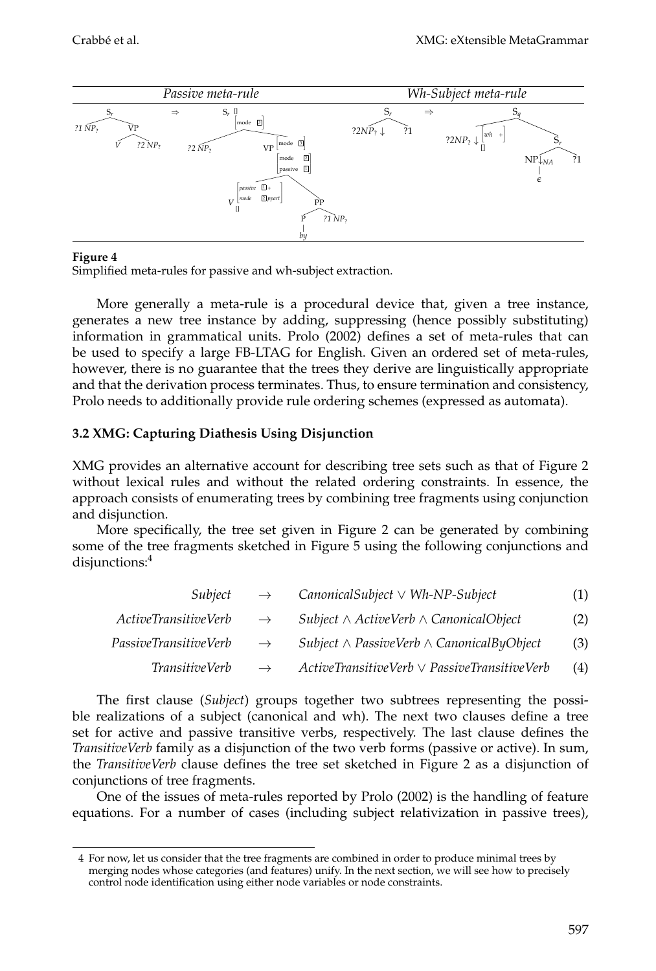

### **Figure 4**

Simplified meta-rules for passive and wh-subject extraction.

More generally a meta-rule is a procedural device that, given a tree instance, generates a new tree instance by adding, suppressing (hence possibly substituting) information in grammatical units. Prolo (2002) defines a set of meta-rules that can be used to specify a large FB-LTAG for English. Given an ordered set of meta-rules, however, there is no guarantee that the trees they derive are linguistically appropriate and that the derivation process terminates. Thus, to ensure termination and consistency, Prolo needs to additionally provide rule ordering schemes (expressed as automata).

## **3.2 XMG: Capturing Diathesis Using Disjunction**

XMG provides an alternative account for describing tree sets such as that of Figure 2 without lexical rules and without the related ordering constraints. In essence, the approach consists of enumerating trees by combining tree fragments using conjunction and disjunction.

More specifically, the tree set given in Figure 2 can be generated by combining some of the tree fragments sketched in Figure 5 using the following conjunctions and disjunctions:<sup>4</sup>

| Subject                     | $\rightarrow$ | $\textit{CanonicalSubject} \vee \textit{Wh-NP-Subject}$ | (1) |
|-----------------------------|---------------|---------------------------------------------------------|-----|
| <i>ActiveTransitiveVerb</i> | $\rightarrow$ | Subject $\wedge$ ActiveVerb $\wedge$ CanonicalObject    | (2) |
| PassiveTransitiveVerb       | $\rightarrow$ | Subject $\wedge$ PassiveVerb $\wedge$ CanonicalByObject | (3) |
| <i>TransitiveVerb</i>       | $\rightarrow$ | $ActiveTransitiveVerb \vee Passive TransitiveVerb$      | (4) |

The first clause (*Subject*) groups together two subtrees representing the possible realizations of a subject (canonical and wh). The next two clauses define a tree set for active and passive transitive verbs, respectively. The last clause defines the *TransitiveVerb* family as a disjunction of the two verb forms (passive or active). In sum, the *TransitiveVerb* clause defines the tree set sketched in Figure 2 as a disjunction of conjunctions of tree fragments.

One of the issues of meta-rules reported by Prolo (2002) is the handling of feature equations. For a number of cases (including subject relativization in passive trees),

<sup>4</sup> For now, let us consider that the tree fragments are combined in order to produce minimal trees by merging nodes whose categories (and features) unify. In the next section, we will see how to precisely control node identification using either node variables or node constraints.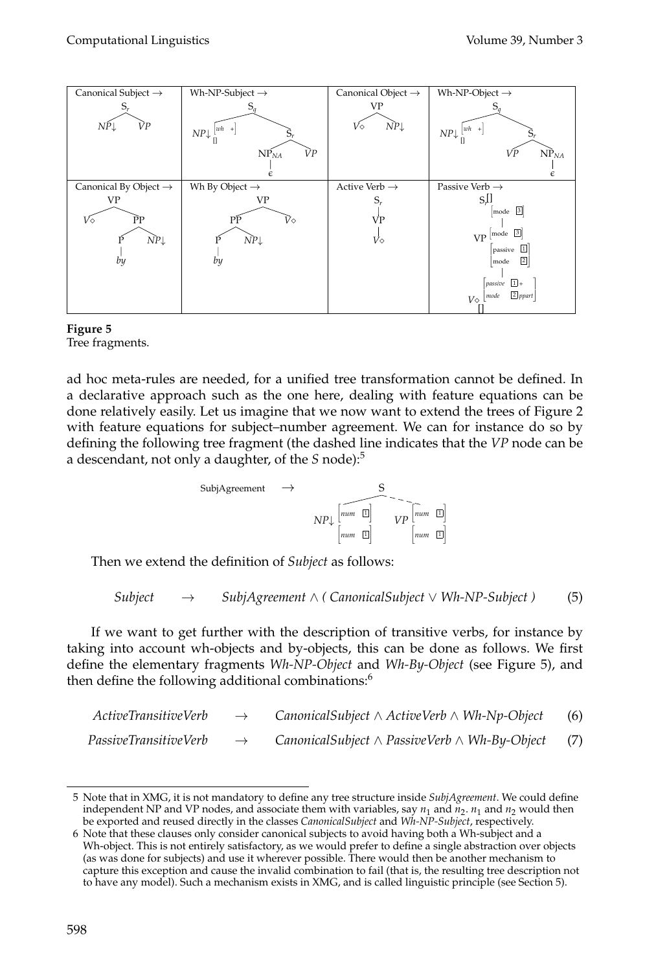



Tree fragments.

ad hoc meta-rules are needed, for a unified tree transformation cannot be defined. In a declarative approach such as the one here, dealing with feature equations can be done relatively easily. Let us imagine that we now want to extend the trees of Figure 2 with feature equations for subject–number agreement. We can for instance do so by defining the following tree fragment (the dashed line indicates that the *VP* node can be a descendant, not only a daughter, of the *S* node):<sup>5</sup>

$$
\begin{array}{ccc}\n\text{SubiAgreement} & \rightarrow & \text{S} \\
\downarrow & \text{num} & \text{m} \\
\text{num} & \text{m} & \text{m}\n\end{array}\n\quad\n\begin{array}{c}\n\text{Sum} & \text{m} \\
\text{V} & \text{num} & \text{m}\n\end{array}
$$

Then we extend the definition of *Subject* as follows:

$$
Subject \rightarrow SubjAgreement \land (CanonicalSubject \lor Wh-NP-Subject) \tag{5}
$$

If we want to get further with the description of transitive verbs, for instance by taking into account wh-objects and by-objects, this can be done as follows. We first define the elementary fragments *Wh-NP-Object* and *Wh-By-Object* (see Figure 5), and then define the following additional combinations:<sup>6</sup>

| ActiveTransitiveVerb         | $\rightarrow$ | CanonicalSubject $\wedge$ ActiveVerb $\wedge$ Wh-Np-Object    | (6) |
|------------------------------|---------------|---------------------------------------------------------------|-----|
| <i>PassiveTransitiveVerb</i> | $\rightarrow$ | CanonicalSubject $\land$ PassiveVerb $\land$ Wh-By-Object (7) |     |

<sup>5</sup> Note that in XMG, it is not mandatory to define any tree structure inside *SubjAgreement*. We could define independent NP and VP nodes, and associate them with variables, say  $n_1$  and  $n_2$ .  $n_1$  and  $n_2$  would then be exported and reused directly in the classes *CanonicalSubject* and *Wh-NP-Subject*, respectively.

<sup>6</sup> Note that these clauses only consider canonical subjects to avoid having both a Wh-subject and a Wh-object. This is not entirely satisfactory, as we would prefer to define a single abstraction over objects (as was done for subjects) and use it wherever possible. There would then be another mechanism to capture this exception and cause the invalid combination to fail (that is, the resulting tree description not to have any model). Such a mechanism exists in XMG, and is called linguistic principle (see Section 5).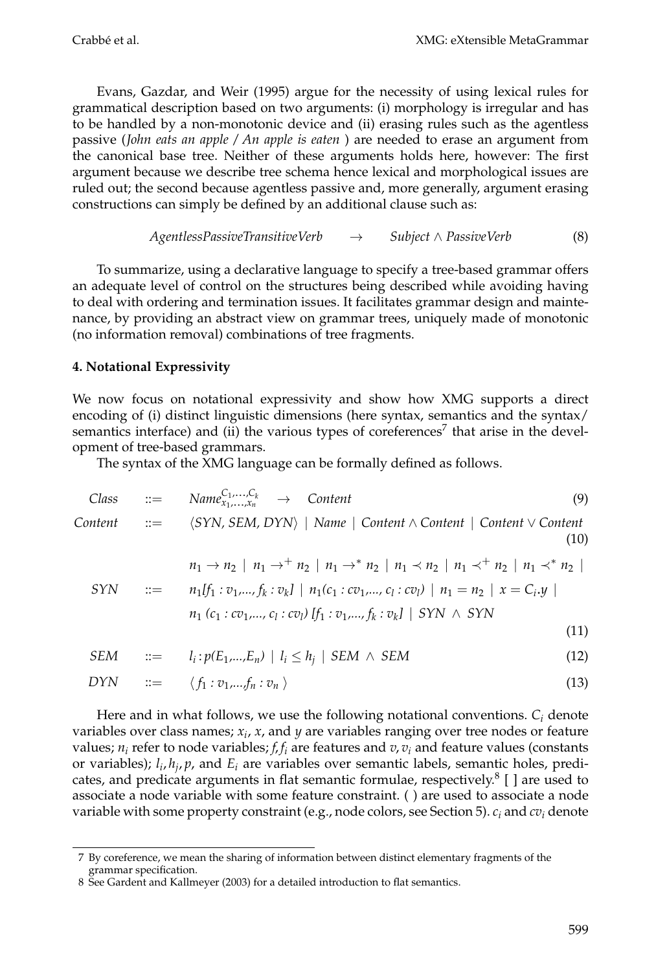Evans, Gazdar, and Weir (1995) argue for the necessity of using lexical rules for grammatical description based on two arguments: (i) morphology is irregular and has to be handled by a non-monotonic device and (ii) erasing rules such as the agentless passive (*John eats an apple / An apple is eaten* ) are needed to erase an argument from the canonical base tree. Neither of these arguments holds here, however: The first argument because we describe tree schema hence lexical and morphological issues are ruled out; the second because agentless passive and, more generally, argument erasing constructions can simply be defined by an additional clause such as:

*AgentlessPassiveTransitiveVerb* 
$$
\rightarrow
$$
 *Subject*  $\land$  *PassiveVerb* (8)

To summarize, using a declarative language to specify a tree-based grammar offers an adequate level of control on the structures being described while avoiding having to deal with ordering and termination issues. It facilitates grammar design and maintenance, by providing an abstract view on grammar trees, uniquely made of monotonic (no information removal) combinations of tree fragments.

### **4. Notational Expressivity**

We now focus on notational expressivity and show how XMG supports a direct encoding of (i) distinct linguistic dimensions (here syntax, semantics and the syntax/ semantics interface) and (ii) the various types of coreferences<sup>7</sup> that arise in the development of tree-based grammars.

The syntax of the XMG language can be formally defined as follows.

Class 
$$
\therefore
$$
  $\therefore$   $\text{Name}_{x_1, \ldots, x_n}^{C_1, \ldots, C_k} \rightarrow \text{Content}$ 

\nContent  $\therefore$   $\langle$  SYN, SEM, DYN $\rangle$  | Name | Content  $\wedge$  Content | Content  $\vee$  Content (10)

\n $\text{Time} \times \text{Time} \times \text{Time} \times \text{Time} \times \text{Time} \times \text{Time} \times \text{Time} \times \text{Time} \times \text{Time} \times \text{Time} \times \text{Time} \times \text{Time} \times \text{Time} \times \text{Time} \times \text{Time} \times \text{Time} \times \text{Time} \times \text{Time} \times \text{Time} \times \text{Time} \times \text{Time} \times \text{Time} \times \text{Time} \times \text{Time} \times \text{Time} \times \text{Time} \times \text{Time} \times \text{Time} \times \text{Time} \times \text{Time} \times \text{Time} \times \text{Time} \times \text{Time} \times \text{Time} \times \text{Time} \times \text{Time} \times \text{Time} \times \text{Time} \times \text{Time} \times \text{Time} \times \text{Time} \times \text{Time} \times \text{Time} \times \text{Time} \times \text{Time} \times \text{Time} \times \text{Time} \times \text{Time} \times \text{Time} \times \text{Time} \times \text{Time} \times \text{Time} \times \text{Time} \times \text{Time} \times \text{Time} \times \text{Time} \times \text{Time} \times \text{Time} \times \text{Time} \times \text{Time} \times \text{Time} \times \text{Time} \times \text{Time} \times \text{Time} \times \text{Time} \times \text{Time} \times \text{Time} \times \text{Time} \times \text{Time} \times \text{Time} \times \text{Time} \times \text{Time} \times \text{Time} \times \text{Time} \times \text{Time} \times \text{Time} \times \text{Time} \times \text{Time} \times \text{Time} \times \text{Time} \times \text{Time} \times \text{Time} \times \text{Time} \times \text{Time} \times \text{Time} \times \text{Time} \times \text{Time} \times \text{$ 

$$
n_1 \to n_2 \mid n_1 \to^+ n_2 \mid n_1 \to^* n_2 \mid n_1 \prec n_2 \mid n_1 \prec^+ n_2 \mid n_1 \prec^* n_2 \mid
$$
  
\n
$$
SYN \quad ::= \quad n_1[f_1: v_1, ..., f_k: v_k] \mid n_1(c_1: cv_1, ..., c_l: cv_l) \mid n_1 = n_2 \mid x = C_i.y \mid
$$
  
\n
$$
n_1 (c_1: cv_1, ..., c_l: cv_l) [f_1: v_1, ..., f_k: v_k] \mid SYN \land SYN
$$
  
\n(11)

$$
SEM \quad ::= \quad l_i: p(E_1,...,E_n) \mid l_i \le h_j \mid SEM \land SEM \tag{12}
$$

$$
DYN \qquad ::= \qquad \langle f_1 : v_1, \ldots, f_n : v_n \rangle \tag{13}
$$

Here and in what follows, we use the following notational conventions.  $C_i$  denote variables over class names; *xi*, *x*, and *y* are variables ranging over tree nodes or feature values;  $n_i$  refer to node variables;  $f_i f_i$  are features and  $v_i v_i$  and feature values (constants or variables); *li*, *hj*, *p*, and *Ei* are variables over semantic labels, semantic holes, predicates, and predicate arguments in flat semantic formulae, respectively.<sup>8</sup>  $[ ]$  are used to associate a node variable with some feature constraint. ( ) are used to associate a node variable with some property constraint (e.g., node colors, see Section 5). *ci* and *cvi* denote

<sup>7</sup> By coreference, we mean the sharing of information between distinct elementary fragments of the grammar specification.

<sup>8</sup> See Gardent and Kallmeyer (2003) for a detailed introduction to flat semantics.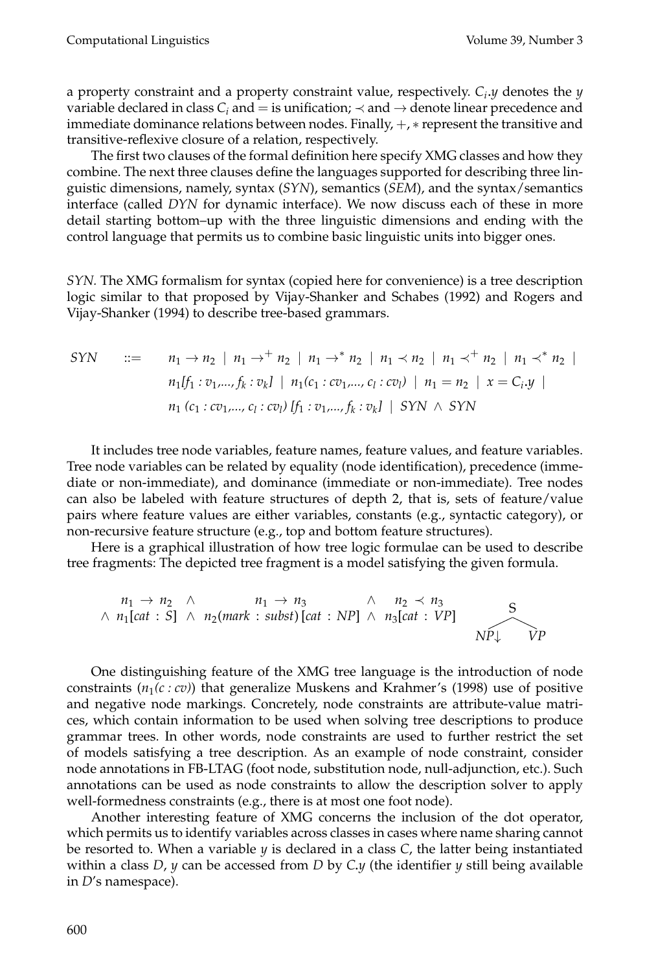a property constraint and a property constraint value, respectively. *Ci*.*y* denotes the *y* variable declared in class  $C_i$  and  $=$  is unification;  $\prec$  and  $\rightarrow$  denote linear precedence and immediate dominance relations between nodes. Finally, +, ∗ represent the transitive and transitive-reflexive closure of a relation, respectively.

The first two clauses of the formal definition here specify XMG classes and how they combine. The next three clauses define the languages supported for describing three linguistic dimensions, namely, syntax (*SYN*), semantics (*SEM*), and the syntax/semantics interface (called *DYN* for dynamic interface). We now discuss each of these in more detail starting bottom–up with the three linguistic dimensions and ending with the control language that permits us to combine basic linguistic units into bigger ones.

*SYN.* The XMG formalism for syntax (copied here for convenience) is a tree description logic similar to that proposed by Vijay-Shanker and Schabes (1992) and Rogers and Vijay-Shanker (1994) to describe tree-based grammars.

$$
SYN \quad ::= \quad n_1 \to n_2 \mid n_1 \to^+ n_2 \mid n_1 \to^* n_2 \mid n_1 \prec n_2 \mid n_1 \prec^+ n_2 \mid n_1 \prec^* n_2 \mid
$$
  
\n
$$
n_1[f_1 : v_1, ..., f_k : v_k] \mid n_1(c_1 : cv_1, ..., c_l : cv_l) \mid n_1 = n_2 \mid x = C_i.y \mid
$$
  
\n
$$
n_1 (c_1 : cv_1, ..., c_l : cv_l) [f_1 : v_1, ..., f_k : v_k] \mid SYN \land SYN
$$

It includes tree node variables, feature names, feature values, and feature variables. Tree node variables can be related by equality (node identification), precedence (immediate or non-immediate), and dominance (immediate or non-immediate). Tree nodes can also be labeled with feature structures of depth 2, that is, sets of feature/value pairs where feature values are either variables, constants (e.g., syntactic category), or non-recursive feature structure (e.g., top and bottom feature structures).

Here is a graphical illustration of how tree logic formulae can be used to describe tree fragments: The depicted tree fragment is a model satisfying the given formula.

$$
n_1 \rightarrow n_2 \land \qquad n_1 \rightarrow n_3 \land \qquad n_2 \prec n_3
$$
  
 
$$
\land n_1[cat : S] \land n_2(mark : subst)[cat : NP] \land n_3[cat : VP]
$$

One distinguishing feature of the XMG tree language is the introduction of node constraints  $(n_1(c:cv))$  that generalize Muskens and Krahmer's (1998) use of positive and negative node markings. Concretely, node constraints are attribute-value matrices, which contain information to be used when solving tree descriptions to produce grammar trees. In other words, node constraints are used to further restrict the set of models satisfying a tree description. As an example of node constraint, consider node annotations in FB-LTAG (foot node, substitution node, null-adjunction, etc.). Such annotations can be used as node constraints to allow the description solver to apply well-formedness constraints (e.g., there is at most one foot node).

Another interesting feature of XMG concerns the inclusion of the dot operator, which permits us to identify variables across classes in cases where name sharing cannot be resorted to. When a variable *y* is declared in a class *C*, the latter being instantiated within a class *D*, *y* can be accessed from *D* by *C*.*y* (the identifier *y* still being available in *D*'s namespace).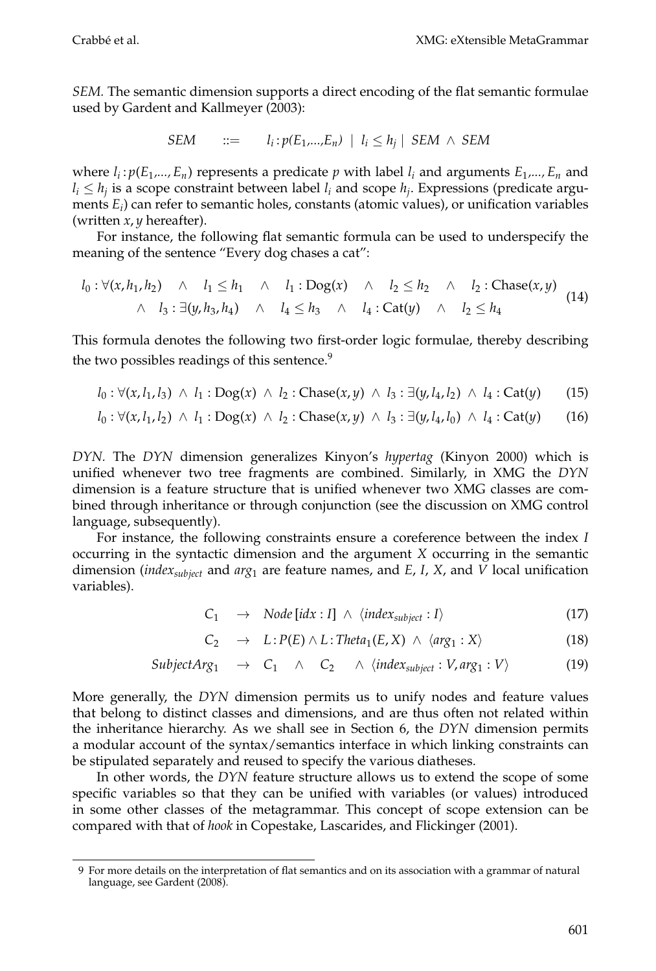*SEM.* The semantic dimension supports a direct encoding of the flat semantic formulae used by Gardent and Kallmeyer (2003):

$$
SEM \qquad ::= \qquad l_i : p(E_1,...,E_n) \mid l_i \le h_j \mid SEM \land SEM
$$

where  $l_i$ :  $p(E_1,...,E_n)$  represents a predicate *p* with label  $l_i$  and arguments  $E_1,...,E_n$  and  $l_i \leq h_i$  is a scope constraint between label  $l_i$  and scope  $h_i$ . Expressions (predicate arguments *Ei*) can refer to semantic holes, constants (atomic values), or unification variables (written *x*, *y* hereafter).

For instance, the following flat semantic formula can be used to underspecify the meaning of the sentence "Every dog chases a cat":

$$
l_0: \forall (x, h_1, h_2) \land l_1 \leq h_1 \land l_1: \text{Dog}(x) \land l_2 \leq h_2 \land l_2: \text{Chase}(x, y)
$$
  

$$
\land l_3: \exists (y, h_3, h_4) \land l_4 \leq h_3 \land l_4: \text{Cat}(y) \land l_2 \leq h_4
$$
 (14)

This formula denotes the following two first-order logic formulae, thereby describing the two possibles readings of this sentence.<sup>9</sup>

$$
l_0
$$
:  $\forall (x, l_1, l_3) \land l_1$ :  $Dog(x) \land l_2$ :  $Chase(x, y) \land l_3$ :  $\exists (y, l_4, l_2) \land l_4$ :  $Cat(y)$  (15)

$$
l_0
$$
:  $\forall (x, l_1, l_2) \land l_1 : \text{Dog}(x) \land l_2 : \text{Chase}(x, y) \land l_3 : \exists (y, l_4, l_0) \land l_4 : \text{Cat}(y)$  (16)

*DYN.* The *DYN* dimension generalizes Kinyon's *hypertag* (Kinyon 2000) which is unified whenever two tree fragments are combined. Similarly, in XMG the *DYN* dimension is a feature structure that is unified whenever two XMG classes are combined through inheritance or through conjunction (see the discussion on XMG control language, subsequently).

For instance, the following constraints ensure a coreference between the index *I* occurring in the syntactic dimension and the argument *X* occurring in the semantic dimension (*indexsubject* and *arg*<sup>1</sup> are feature names, and *E*, *I*, *X*, and *V* local unification variables).

$$
C_1 \rightarrow Node[idx : I] \land \langle index_{subject} : I \rangle \tag{17}
$$

$$
C_2 \rightarrow L: P(E) \wedge L: \text{Theta}_1(E, X) \wedge \langle \text{arg}_1 : X \rangle \tag{18}
$$

$$
SubjectArg_1 \rightarrow C_1 \land C_2 \land \langle index_{subject} : V, arg_1 : V \rangle \tag{19}
$$

More generally, the *DYN* dimension permits us to unify nodes and feature values that belong to distinct classes and dimensions, and are thus often not related within the inheritance hierarchy. As we shall see in Section 6, the *DYN* dimension permits a modular account of the syntax/semantics interface in which linking constraints can be stipulated separately and reused to specify the various diatheses.

In other words, the *DYN* feature structure allows us to extend the scope of some specific variables so that they can be unified with variables (or values) introduced in some other classes of the metagrammar. This concept of scope extension can be compared with that of *hook* in Copestake, Lascarides, and Flickinger (2001).

<sup>9</sup> For more details on the interpretation of flat semantics and on its association with a grammar of natural language, see Gardent (2008).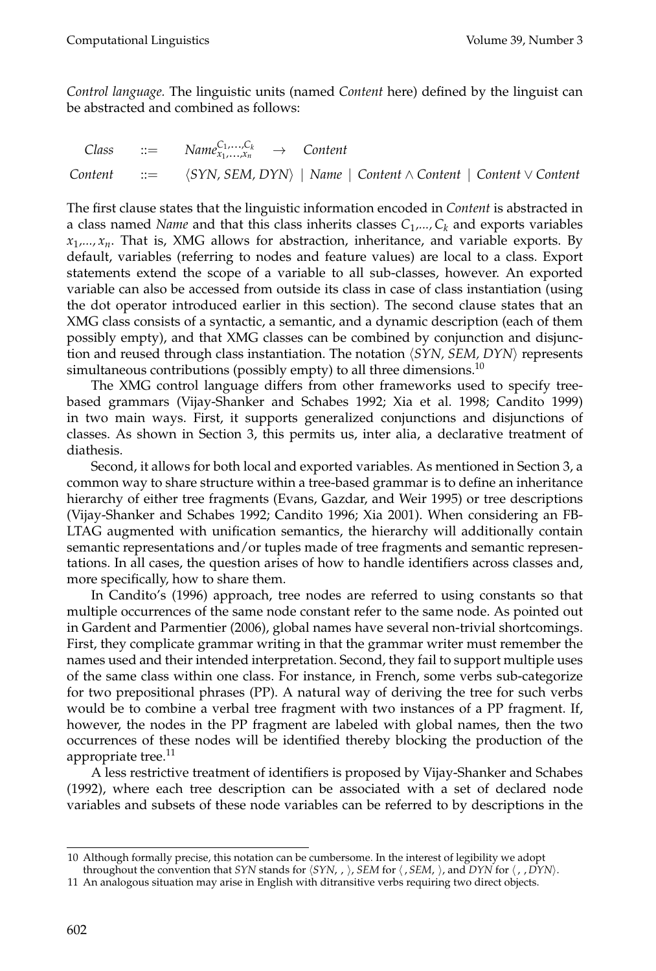*Control language.* The linguistic units (named *Content* here) defined by the linguist can be abstracted and combined as follows:

 $\textit{Class}$  ::=  $\textit{Name}_{x_1,...,x_n}^{\mathcal{C}_1,...,\mathcal{C}_k} \rightarrow \textit{Content}$ *Content* ::= *SYN, SEM, DYN* | *Name* | *Content* ∧ *Content* | *Content* ∨ *Content*

The first clause states that the linguistic information encoded in *Content* is abstracted in a class named *Name* and that this class inherits classes  $C_1$ ,...,  $C_k$  and exports variables  $x_1, \ldots, x_n$ . That is, XMG allows for abstraction, inheritance, and variable exports. By default, variables (referring to nodes and feature values) are local to a class. Export statements extend the scope of a variable to all sub-classes, however. An exported variable can also be accessed from outside its class in case of class instantiation (using the dot operator introduced earlier in this section). The second clause states that an XMG class consists of a syntactic, a semantic, and a dynamic description (each of them possibly empty), and that XMG classes can be combined by conjunction and disjunction and reused through class instantiation. The notation  $\langle SYN, SEM, DYN \rangle$  represents simultaneous contributions (possibly empty) to all three dimensions.<sup>10</sup>

The XMG control language differs from other frameworks used to specify treebased grammars (Vijay-Shanker and Schabes 1992; Xia et al. 1998; Candito 1999) in two main ways. First, it supports generalized conjunctions and disjunctions of classes. As shown in Section 3, this permits us, inter alia, a declarative treatment of diathesis.

Second, it allows for both local and exported variables. As mentioned in Section 3, a common way to share structure within a tree-based grammar is to define an inheritance hierarchy of either tree fragments (Evans, Gazdar, and Weir 1995) or tree descriptions (Vijay-Shanker and Schabes 1992; Candito 1996; Xia 2001). When considering an FB-LTAG augmented with unification semantics, the hierarchy will additionally contain semantic representations and/or tuples made of tree fragments and semantic representations. In all cases, the question arises of how to handle identifiers across classes and, more specifically, how to share them.

In Candito's (1996) approach, tree nodes are referred to using constants so that multiple occurrences of the same node constant refer to the same node. As pointed out in Gardent and Parmentier (2006), global names have several non-trivial shortcomings. First, they complicate grammar writing in that the grammar writer must remember the names used and their intended interpretation. Second, they fail to support multiple uses of the same class within one class. For instance, in French, some verbs sub-categorize for two prepositional phrases (PP). A natural way of deriving the tree for such verbs would be to combine a verbal tree fragment with two instances of a PP fragment. If, however, the nodes in the PP fragment are labeled with global names, then the two occurrences of these nodes will be identified thereby blocking the production of the appropriate tree. $^{11}$ 

A less restrictive treatment of identifiers is proposed by Vijay-Shanker and Schabes (1992), where each tree description can be associated with a set of declared node variables and subsets of these node variables can be referred to by descriptions in the

<sup>10</sup> Although formally precise, this notation can be cumbersome. In the interest of legibility we adopt throughout the convention that *SYN* stands for  $\langle SYN, \rangle$ ,  $\sum$  *SEM* for  $\langle$ , *SEM*,  $\rangle$ , and *DYN* for  $\langle$ , , *DYN* $\rangle$ .

<sup>11</sup> An analogous situation may arise in English with ditransitive verbs requiring two direct objects.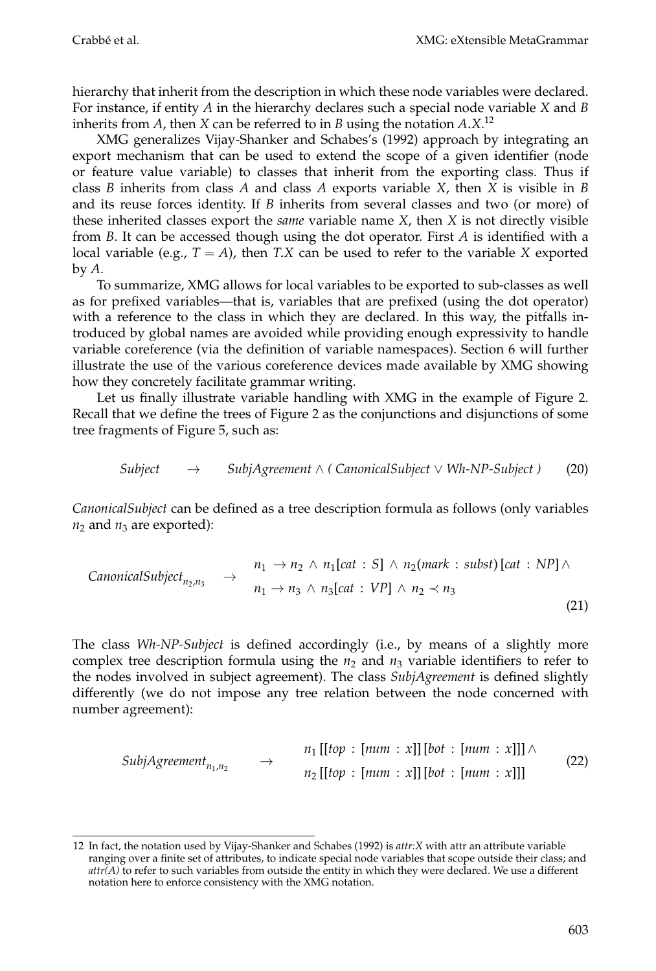hierarchy that inherit from the description in which these node variables were declared. For instance, if entity *A* in the hierarchy declares such a special node variable *X* and *B* inherits from *A*, then *X* can be referred to in *B* using the notation *A*.*X*. 12

XMG generalizes Vijay-Shanker and Schabes's (1992) approach by integrating an export mechanism that can be used to extend the scope of a given identifier (node or feature value variable) to classes that inherit from the exporting class. Thus if class *B* inherits from class *A* and class *A* exports variable *X*, then *X* is visible in *B* and its reuse forces identity. If *B* inherits from several classes and two (or more) of these inherited classes export the *same* variable name *X*, then *X* is not directly visible from *B*. It can be accessed though using the dot operator. First *A* is identified with a local variable (e.g.,  $T = A$ ), then *T.X* can be used to refer to the variable *X* exported by *A*.

To summarize, XMG allows for local variables to be exported to sub-classes as well as for prefixed variables—that is, variables that are prefixed (using the dot operator) with a reference to the class in which they are declared. In this way, the pitfalls introduced by global names are avoided while providing enough expressivity to handle variable coreference (via the definition of variable namespaces). Section 6 will further illustrate the use of the various coreference devices made available by XMG showing how they concretely facilitate grammar writing.

Let us finally illustrate variable handling with XMG in the example of Figure 2. Recall that we define the trees of Figure 2 as the conjunctions and disjunctions of some tree fragments of Figure 5, such as:

$$
Subject \rightarrow SubjAgreement \land (CanonicalSubject \lor Wh-NP-Subject) \tag{20}
$$

*CanonicalSubject* can be defined as a tree description formula as follows (only variables  $n_2$  and  $n_3$  are exported):

$$
CanonicalSubject_{n_2,n_3} \rightarrow n_1 \rightarrow n_2 \land n_1[cat : S] \land n_2(mark : subst)[cat : NP] \land n_1 \rightarrow n_3 \land n_3[cat : VP] \land n_2 \prec n_3
$$
\n(21)

The class *Wh-NP-Subject* is defined accordingly (i.e., by means of a slightly more complex tree description formula using the  $n_2$  and  $n_3$  variable identifiers to refer to the nodes involved in subject agreement). The class *SubjAgreement* is defined slightly differently (we do not impose any tree relation between the node concerned with number agreement):

$$
SubjAgreement_{n_1,n_2} \rightarrow n_1[[top : [num : x]] [bot : [num : x]]] \land
$$
  
\n
$$
n_2[[top : [num : x]] [bot : [num : x]]]
$$
\n(22)

<sup>12</sup> In fact, the notation used by Vijay-Shanker and Schabes (1992) is *attr:X* with attr an attribute variable ranging over a finite set of attributes, to indicate special node variables that scope outside their class; and *attr(A)* to refer to such variables from outside the entity in which they were declared. We use a different notation here to enforce consistency with the XMG notation.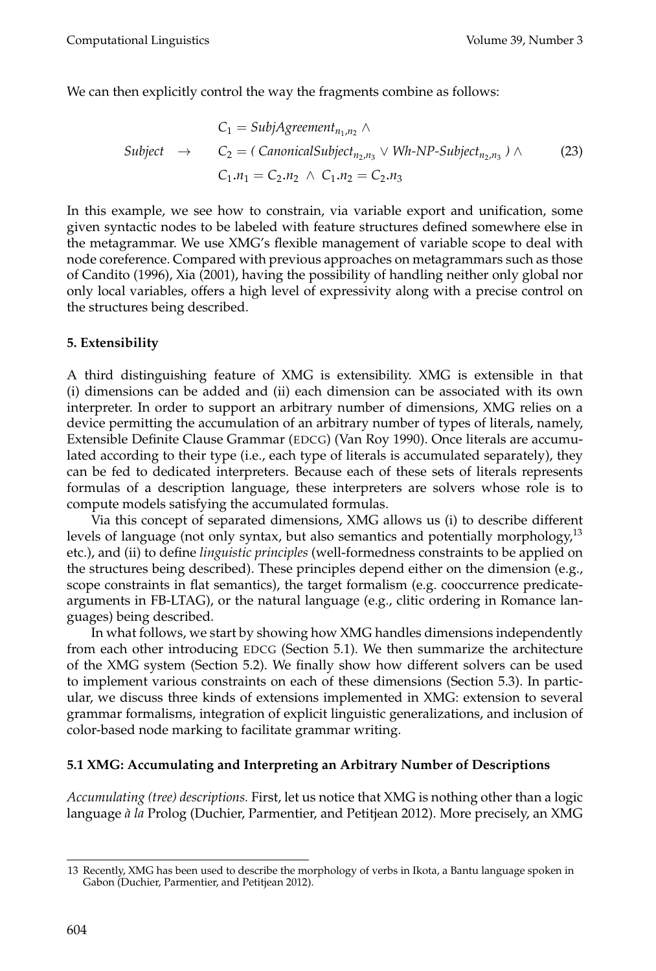We can then explicitly control the way the fragments combine as follows:

$$
C_1 = SubjAgreement_{n_1,n_2} \land
$$
  
\n
$$
Subject \rightarrow C_2 = (CanonicalSubject_{n_2,n_3} \lor Wh-NP-Subject_{n_2,n_3}) \land (23)
$$
  
\n
$$
C_1.n_1 = C_2.n_2 \land C_1.n_2 = C_2.n_3
$$

In this example, we see how to constrain, via variable export and unification, some given syntactic nodes to be labeled with feature structures defined somewhere else in the metagrammar. We use XMG's flexible management of variable scope to deal with node coreference. Compared with previous approaches on metagrammars such as those of Candito (1996), Xia (2001), having the possibility of handling neither only global nor only local variables, offers a high level of expressivity along with a precise control on the structures being described.

## **5. Extensibility**

A third distinguishing feature of XMG is extensibility. XMG is extensible in that (i) dimensions can be added and (ii) each dimension can be associated with its own interpreter. In order to support an arbitrary number of dimensions, XMG relies on a device permitting the accumulation of an arbitrary number of types of literals, namely, Extensible Definite Clause Grammar (EDCG) (Van Roy 1990). Once literals are accumulated according to their type (i.e., each type of literals is accumulated separately), they can be fed to dedicated interpreters. Because each of these sets of literals represents formulas of a description language, these interpreters are solvers whose role is to compute models satisfying the accumulated formulas.

Via this concept of separated dimensions, XMG allows us (i) to describe different levels of language (not only syntax, but also semantics and potentially morphology, $13$ etc.), and (ii) to define *linguistic principles* (well-formedness constraints to be applied on the structures being described). These principles depend either on the dimension (e.g., scope constraints in flat semantics), the target formalism (e.g. cooccurrence predicatearguments in FB-LTAG), or the natural language (e.g., clitic ordering in Romance languages) being described.

In what follows, we start by showing how XMG handles dimensions independently from each other introducing EDCG (Section 5.1). We then summarize the architecture of the XMG system (Section 5.2). We finally show how different solvers can be used to implement various constraints on each of these dimensions (Section 5.3). In particular, we discuss three kinds of extensions implemented in XMG: extension to several grammar formalisms, integration of explicit linguistic generalizations, and inclusion of color-based node marking to facilitate grammar writing.

## **5.1 XMG: Accumulating and Interpreting an Arbitrary Number of Descriptions**

*Accumulating (tree) descriptions.* First, let us notice that XMG is nothing other than a logic language *à la* Prolog (Duchier, Parmentier, and Petitjean 2012). More precisely, an XMG

<sup>13</sup> Recently, XMG has been used to describe the morphology of verbs in Ikota, a Bantu language spoken in Gabon (Duchier, Parmentier, and Petitjean 2012).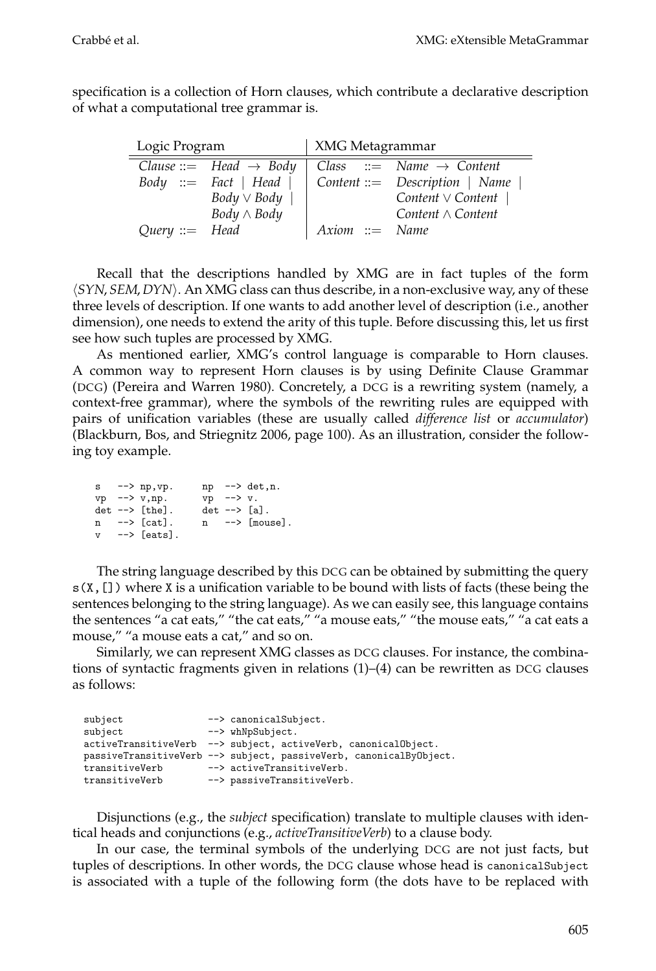specification is a collection of Horn clauses, which contribute a declarative description of what a computational tree grammar is.

| Logic Program    |                                    | XMG Metagrammar  |                                              |  |
|------------------|------------------------------------|------------------|----------------------------------------------|--|
|                  | Clause ::= Head $\rightarrow$ Body |                  | Class ::= Name $\rightarrow$ Content         |  |
|                  | $Body ::= Fact   Head  $           |                  | $\vert$ Content ::= Description $\vert$ Name |  |
|                  | $Body \vee Body$                   |                  | Content $\vee$ Content                       |  |
|                  | $Body \wedge Body$                 |                  | Content $\wedge$ Content                     |  |
| $Query ::= Head$ |                                    | $Axiom ::= Name$ |                                              |  |

Recall that the descriptions handled by XMG are in fact tuples of the form *SYN*, *SEM*, *DYN* . An XMG class can thus describe, in a non-exclusive way, any of these three levels of description. If one wants to add another level of description (i.e., another dimension), one needs to extend the arity of this tuple. Before discussing this, let us first see how such tuples are processed by XMG.

As mentioned earlier, XMG's control language is comparable to Horn clauses. A common way to represent Horn clauses is by using Definite Clause Grammar (DCG) (Pereira and Warren 1980). Concretely, a DCG is a rewriting system (namely, a context-free grammar), where the symbols of the rewriting rules are equipped with pairs of unification variables (these are usually called *difference list* or *accumulator*) (Blackburn, Bos, and Striegnitz 2006, page 100). As an illustration, consider the following toy example.

|             | $s \rightarrow -\rangle$ np, $vp$ .             |                | $np \rightarrow det, n.$             |
|-------------|-------------------------------------------------|----------------|--------------------------------------|
|             | $vp$ --> $v, np$ .                              | $vp$ --> $v$ . |                                      |
|             | $det \leftarrow \leftarrow \left[ the \right].$ |                | $det \leftarrow > \lceil a \rceil$ . |
|             | $n \longrightarrow [cat].$                      |                | $n \longrightarrow [mouse].$         |
| $\mathbf v$ | --> [eats].                                     |                |                                      |

The string language described by this DCG can be obtained by submitting the query  $s(X,[])$  where X is a unification variable to be bound with lists of facts (these being the sentences belonging to the string language). As we can easily see, this language contains the sentences "a cat eats," "the cat eats," "a mouse eats," "the mouse eats," "a cat eats a mouse," "a mouse eats a cat," and so on.

Similarly, we can represent XMG classes as DCG clauses. For instance, the combinations of syntactic fragments given in relations  $(1)$ – $(4)$  can be rewritten as DCG clauses as follows:

| subject        | --> canonicalSubject.                                              |
|----------------|--------------------------------------------------------------------|
| subject        | --> whNpSubject.                                                   |
|                | activeTransitiveVerb --> subject, activeVerb, canonicalObject.     |
|                | passiveTransitiveVerb --> subject, passiveVerb, canonicalByObject. |
| transitiveVerb | --> activeTransitiveVerb.                                          |
| transitiveVerb | --> passiveTransitiveVerb.                                         |
|                |                                                                    |

Disjunctions (e.g., the *subject* specification) translate to multiple clauses with identical heads and conjunctions (e.g., *activeTransitiveVerb*) to a clause body.

In our case, the terminal symbols of the underlying DCG are not just facts, but tuples of descriptions. In other words, the DCG clause whose head is canonicalSubject is associated with a tuple of the following form (the dots have to be replaced with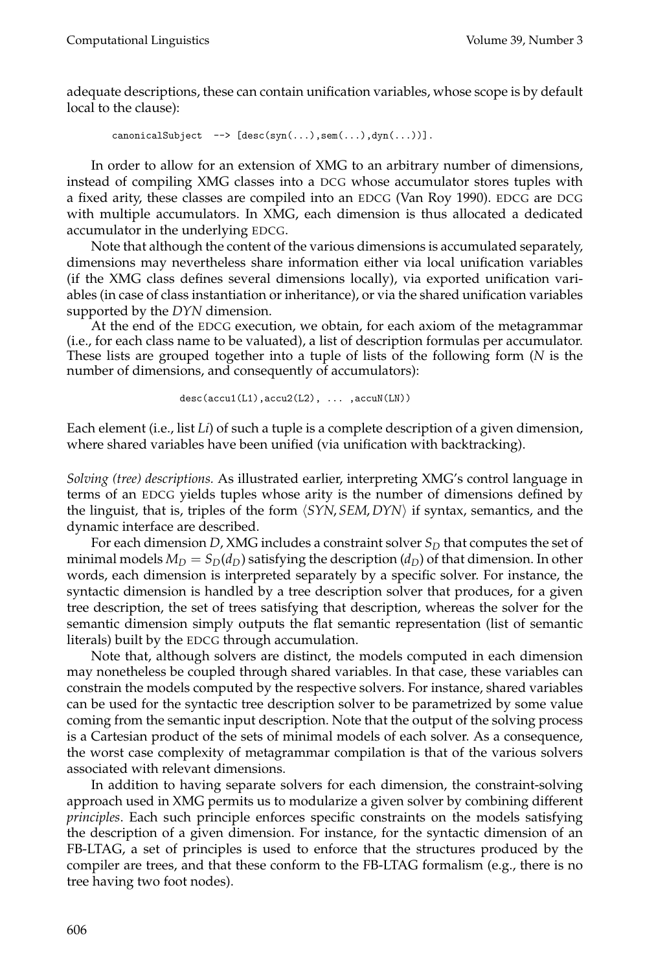adequate descriptions, these can contain unification variables, whose scope is by default local to the clause):

canonicalSubject  $\left[-\right]$  [desc(syn(...),sem(...),dyn(...))].

In order to allow for an extension of XMG to an arbitrary number of dimensions, instead of compiling XMG classes into a DCG whose accumulator stores tuples with a fixed arity, these classes are compiled into an EDCG (Van Roy 1990). EDCG are DCG with multiple accumulators. In XMG, each dimension is thus allocated a dedicated accumulator in the underlying EDCG.

Note that although the content of the various dimensions is accumulated separately, dimensions may nevertheless share information either via local unification variables (if the XMG class defines several dimensions locally), via exported unification variables (in case of class instantiation or inheritance), or via the shared unification variables supported by the *DYN* dimension.

At the end of the EDCG execution, we obtain, for each axiom of the metagrammar (i.e., for each class name to be valuated), a list of description formulas per accumulator. These lists are grouped together into a tuple of lists of the following form (*N* is the number of dimensions, and consequently of accumulators):

```
desc(accu1(L1), accu2(L2), ... , accuN(LN))
```
Each element (i.e., list *Li*) of such a tuple is a complete description of a given dimension, where shared variables have been unified (via unification with backtracking).

*Solving (tree) descriptions.* As illustrated earlier, interpreting XMG's control language in terms of an EDCG yields tuples whose arity is the number of dimensions defined by the linguist, that is, triples of the form *SYN*, *SEM*, *DYN* if syntax, semantics, and the dynamic interface are described.

For each dimension *D*, XMG includes a constraint solver  $S_D$  that computes the set of minimal models  $M_D = S_D(d_D)$  satisfying the description  $(d_D)$  of that dimension. In other words, each dimension is interpreted separately by a specific solver. For instance, the syntactic dimension is handled by a tree description solver that produces, for a given tree description, the set of trees satisfying that description, whereas the solver for the semantic dimension simply outputs the flat semantic representation (list of semantic literals) built by the EDCG through accumulation.

Note that, although solvers are distinct, the models computed in each dimension may nonetheless be coupled through shared variables. In that case, these variables can constrain the models computed by the respective solvers. For instance, shared variables can be used for the syntactic tree description solver to be parametrized by some value coming from the semantic input description. Note that the output of the solving process is a Cartesian product of the sets of minimal models of each solver. As a consequence, the worst case complexity of metagrammar compilation is that of the various solvers associated with relevant dimensions.

In addition to having separate solvers for each dimension, the constraint-solving approach used in XMG permits us to modularize a given solver by combining different *principles*. Each such principle enforces specific constraints on the models satisfying the description of a given dimension. For instance, for the syntactic dimension of an FB-LTAG, a set of principles is used to enforce that the structures produced by the compiler are trees, and that these conform to the FB-LTAG formalism (e.g., there is no tree having two foot nodes).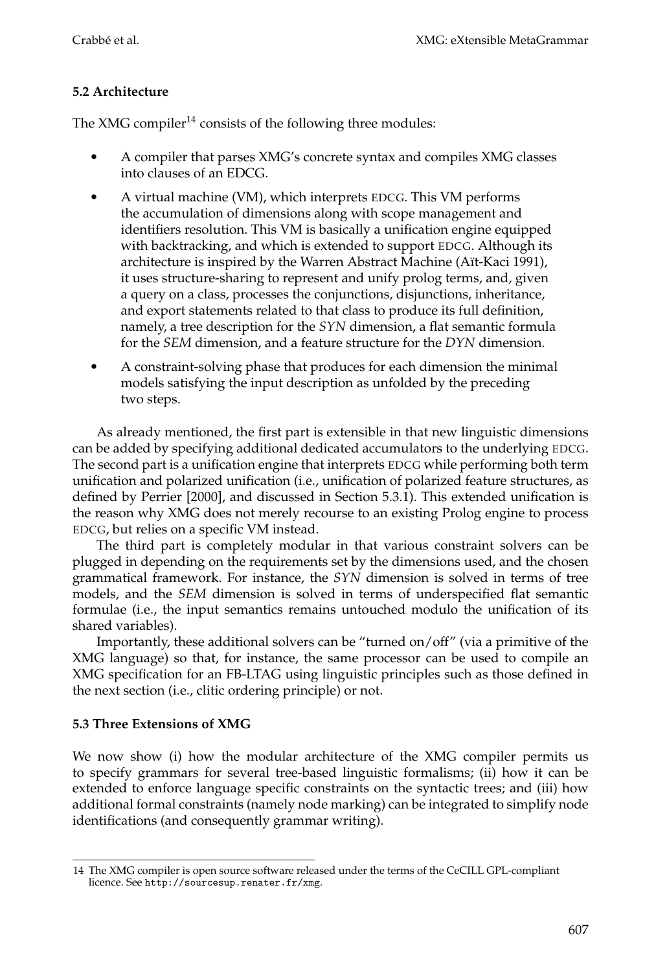## **5.2 Architecture**

The XMG compiler<sup>14</sup> consists of the following three modules:

- - A compiler that parses XMG's concrete syntax and compiles XMG classes into clauses of an EDCG.
- - A virtual machine (VM), which interprets EDCG. This VM performs the accumulation of dimensions along with scope management and identifiers resolution. This VM is basically a unification engine equipped with backtracking, and which is extended to support EDCG. Although its architecture is inspired by the Warren Abstract Machine (Aït-Kaci 1991), it uses structure-sharing to represent and unify prolog terms, and, given a query on a class, processes the conjunctions, disjunctions, inheritance, and export statements related to that class to produce its full definition, namely, a tree description for the *SYN* dimension, a flat semantic formula for the *SEM* dimension, and a feature structure for the *DYN* dimension.
- $\bullet$  A constraint-solving phase that produces for each dimension the minimal models satisfying the input description as unfolded by the preceding two steps.

As already mentioned, the first part is extensible in that new linguistic dimensions can be added by specifying additional dedicated accumulators to the underlying EDCG. The second part is a unification engine that interprets EDCG while performing both term unification and polarized unification (i.e., unification of polarized feature structures, as defined by Perrier [2000], and discussed in Section 5.3.1). This extended unification is the reason why XMG does not merely recourse to an existing Prolog engine to process EDCG, but relies on a specific VM instead.

The third part is completely modular in that various constraint solvers can be plugged in depending on the requirements set by the dimensions used, and the chosen grammatical framework. For instance, the *SYN* dimension is solved in terms of tree models, and the *SEM* dimension is solved in terms of underspecified flat semantic formulae (i.e., the input semantics remains untouched modulo the unification of its shared variables).

Importantly, these additional solvers can be "turned on/off" (via a primitive of the XMG language) so that, for instance, the same processor can be used to compile an XMG specification for an FB-LTAG using linguistic principles such as those defined in the next section (i.e., clitic ordering principle) or not.

## **5.3 Three Extensions of XMG**

We now show (i) how the modular architecture of the XMG compiler permits us to specify grammars for several tree-based linguistic formalisms; (ii) how it can be extended to enforce language specific constraints on the syntactic trees; and (iii) how additional formal constraints (namely node marking) can be integrated to simplify node identifications (and consequently grammar writing).

<sup>14</sup> The XMG compiler is open source software released under the terms of the CeCILL GPL-compliant licence. See http://sourcesup.renater.fr/xmg.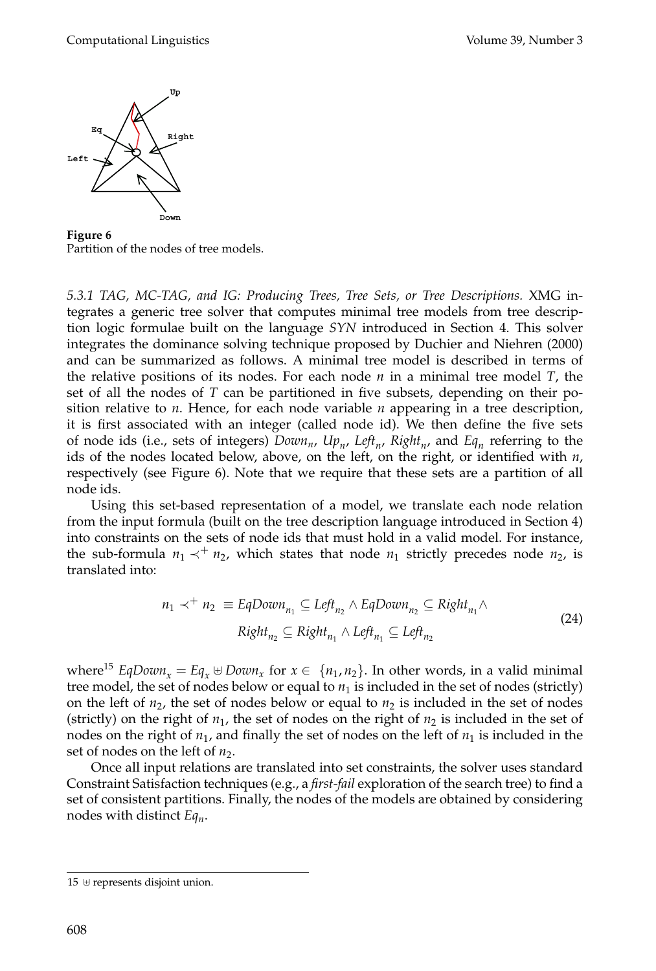

**Figure 6** Partition of the nodes of tree models.

*5.3.1 TAG, MC-TAG, and IG: Producing Trees, Tree Sets, or Tree Descriptions.* XMG integrates a generic tree solver that computes minimal tree models from tree description logic formulae built on the language *SYN* introduced in Section 4. This solver integrates the dominance solving technique proposed by Duchier and Niehren (2000) and can be summarized as follows. A minimal tree model is described in terms of the relative positions of its nodes. For each node  $n$  in a minimal tree model  $T$ , the set of all the nodes of *T* can be partitioned in five subsets, depending on their position relative to *n*. Hence, for each node variable *n* appearing in a tree description, it is first associated with an integer (called node id). We then define the five sets of node ids (i.e., sets of integers) *Down<sub>n</sub>*,  $Up_n$ ,  $Left_n$ ,  $Right_n$ , and  $Eq_n$  referring to the ids of the nodes located below, above, on the left, on the right, or identified with *n*, respectively (see Figure 6). Note that we require that these sets are a partition of all node ids.

Using this set-based representation of a model, we translate each node relation from the input formula (built on the tree description language introduced in Section 4) into constraints on the sets of node ids that must hold in a valid model. For instance, the sub-formula  $n_1 \prec^+ n_2$ , which states that node  $n_1$  strictly precedes node  $n_2$ , is translated into:

$$
n_1 \prec^+ n_2 \equiv EqDown_{n_1} \subseteq Left_{n_2} \land EqDown_{n_2} \subseteq Right_{n_1} \land
$$
  
\n
$$
Right_{n_2} \subseteq Right_{n_1} \land Left_{n_1} \subseteq Left_{n_2}
$$
\n(24)

where<sup>15</sup> *EqDown<sub>x</sub>* = *Eq<sub>x</sub>*  $\oplus$  *Down<sub>x</sub>* for  $x \in \{n_1, n_2\}$ . In other words, in a valid minimal tree model, the set of nodes below or equal to  $n_1$  is included in the set of nodes (strictly) on the left of  $n_2$ , the set of nodes below or equal to  $n_2$  is included in the set of nodes (strictly) on the right of  $n_1$ , the set of nodes on the right of  $n_2$  is included in the set of nodes on the right of  $n_1$ , and finally the set of nodes on the left of  $n_1$  is included in the set of nodes on the left of  $n_2$ .

Once all input relations are translated into set constraints, the solver uses standard Constraint Satisfaction techniques (e.g., a *first-fail* exploration of the search tree) to find a set of consistent partitions. Finally, the nodes of the models are obtained by considering nodes with distinct *Eqn*.

 $15 \oplus$  represents disjoint union.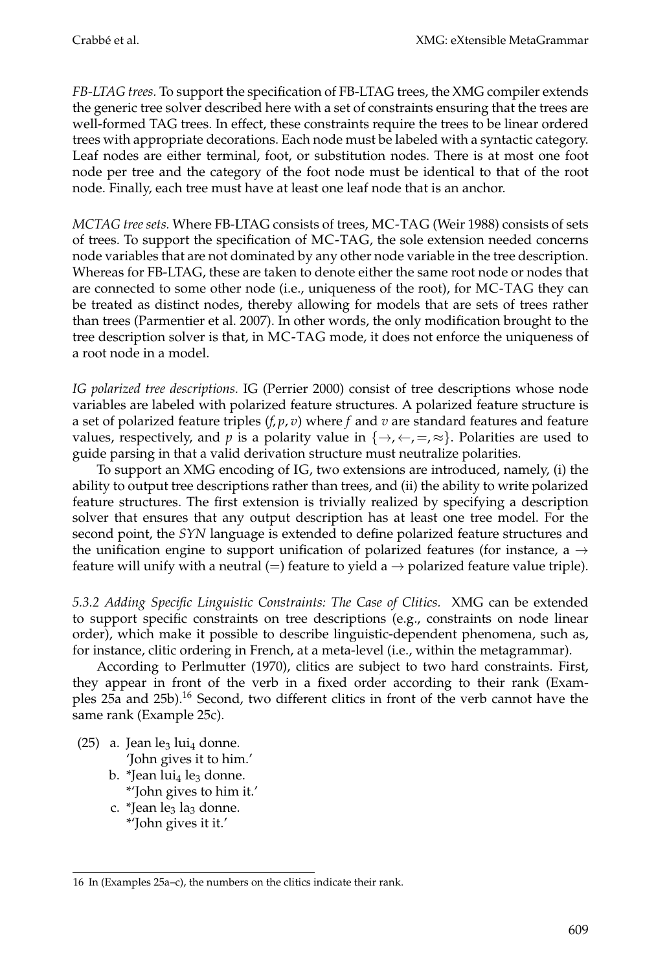*FB-LTAG trees.* To support the specification of FB-LTAG trees, the XMG compiler extends the generic tree solver described here with a set of constraints ensuring that the trees are well-formed TAG trees. In effect, these constraints require the trees to be linear ordered trees with appropriate decorations. Each node must be labeled with a syntactic category. Leaf nodes are either terminal, foot, or substitution nodes. There is at most one foot node per tree and the category of the foot node must be identical to that of the root node. Finally, each tree must have at least one leaf node that is an anchor.

*MCTAG tree sets.* Where FB-LTAG consists of trees, MC-TAG (Weir 1988) consists of sets of trees. To support the specification of MC-TAG, the sole extension needed concerns node variables that are not dominated by any other node variable in the tree description. Whereas for FB-LTAG, these are taken to denote either the same root node or nodes that are connected to some other node (i.e., uniqueness of the root), for MC-TAG they can be treated as distinct nodes, thereby allowing for models that are sets of trees rather than trees (Parmentier et al. 2007). In other words, the only modification brought to the tree description solver is that, in MC-TAG mode, it does not enforce the uniqueness of a root node in a model.

*IG polarized tree descriptions.* IG (Perrier 2000) consist of tree descriptions whose node variables are labeled with polarized feature structures. A polarized feature structure is a set of polarized feature triples  $(f, p, v)$  where  $f$  and  $v$  are standard features and feature values, respectively, and *p* is a polarity value in  $\{\rightarrow, \leftarrow, =, \approx\}$ . Polarities are used to guide parsing in that a valid derivation structure must neutralize polarities.

To support an XMG encoding of IG, two extensions are introduced, namely, (i) the ability to output tree descriptions rather than trees, and (ii) the ability to write polarized feature structures. The first extension is trivially realized by specifying a description solver that ensures that any output description has at least one tree model. For the second point, the *SYN* language is extended to define polarized feature structures and the unification engine to support unification of polarized features (for instance, a  $\rightarrow$ feature will unify with a neutral (=) feature to yield a  $\rightarrow$  polarized feature value triple).

*5.3.2 Adding Specific Linguistic Constraints: The Case of Clitics.* XMG can be extended to support specific constraints on tree descriptions (e.g., constraints on node linear order), which make it possible to describe linguistic-dependent phenomena, such as, for instance, clitic ordering in French, at a meta-level (i.e., within the metagrammar).

According to Perlmutter (1970), clitics are subject to two hard constraints. First, they appear in front of the verb in a fixed order according to their rank (Examples 25a and 25b).16 Second, two different clitics in front of the verb cannot have the same rank (Example 25c).

- (25) a. Jean le<sub>3</sub> lui<sub>4</sub> donne. 'John gives it to him.'
	- b. \*Jean lui<sub>4</sub> le<sub>3</sub> donne. \*'John gives to him it.'
	- c. \*Jean le<sub>3</sub> la<sub>3</sub> donne. \*'John gives it it.'

<sup>16</sup> In (Examples 25a–c), the numbers on the clitics indicate their rank.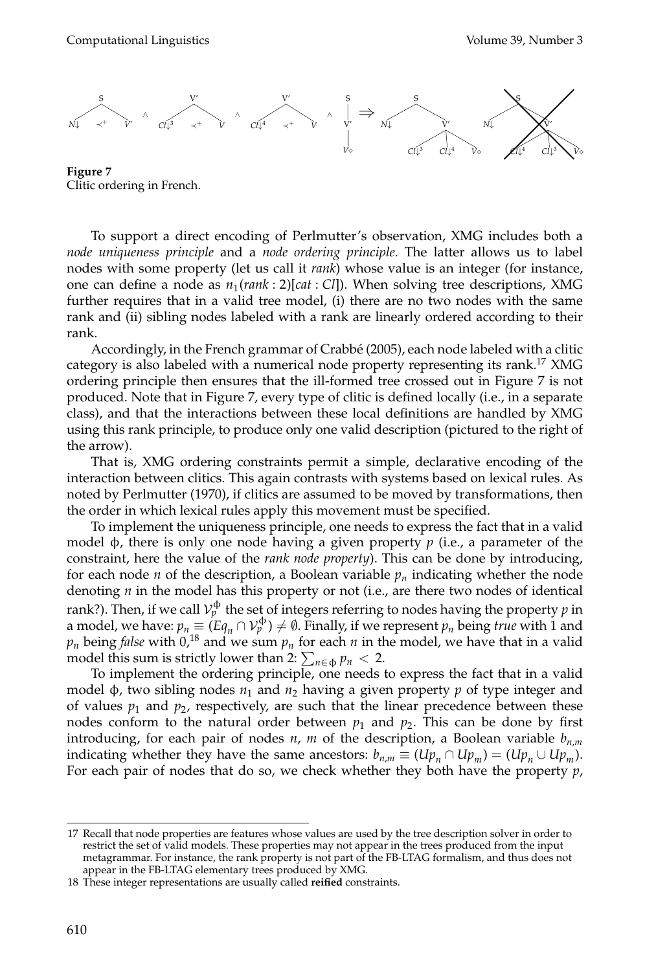

**Figure 7** Clitic ordering in French.

To support a direct encoding of Perlmutter's observation, XMG includes both a *node uniqueness principle* and a *node ordering principle*. The latter allows us to label nodes with some property (let us call it *rank*) whose value is an integer (for instance, one can define a node as *n*1(*rank* : 2)[*cat* : *Cl*]). When solving tree descriptions, XMG further requires that in a valid tree model, (i) there are no two nodes with the same rank and (ii) sibling nodes labeled with a rank are linearly ordered according to their rank.

Accordingly, in the French grammar of Crabbé (2005), each node labeled with a clitic category is also labeled with a numerical node property representing its rank.<sup>17</sup> XMG ordering principle then ensures that the ill-formed tree crossed out in Figure 7 is not produced. Note that in Figure 7, every type of clitic is defined locally (i.e., in a separate class), and that the interactions between these local definitions are handled by XMG using this rank principle, to produce only one valid description (pictured to the right of the arrow).

That is, XMG ordering constraints permit a simple, declarative encoding of the interaction between clitics. This again contrasts with systems based on lexical rules. As noted by Perlmutter (1970), if clitics are assumed to be moved by transformations, then the order in which lexical rules apply this movement must be specified.

To implement the uniqueness principle, one needs to express the fact that in a valid model φ, there is only one node having a given property *p* (i.e., a parameter of the constraint, here the value of the *rank node property*). This can be done by introducing, for each node *n* of the description, a Boolean variable  $p_n$  indicating whether the node denoting *n* in the model has this property or not (i.e., are there two nodes of identical rank?). Then, if we call  $\mathcal{V}^\Phi_p$  the set of integers referring to nodes having the property  $p$  in a model, we have:  $p_n \equiv (Eq_n \cap V_p^{\Phi}) \neq \emptyset$ . Finally, if we represent  $p_n$  being *true* with 1 and  $p_n$  being *false* with  $0$ ,<sup>18</sup> and we sum  $p_n$  for each *n* in the model, we have that in a valid model this sum is strictly lower than 2:  $\sum_{n \in \Phi} p_n < 2$ .

To implement the ordering principle, one needs to express the fact that in a valid model φ, two sibling nodes  $n_1$  and  $n_2$  having a given property *p* of type integer and of values  $p_1$  and  $p_2$ , respectively, are such that the linear precedence between these nodes conform to the natural order between  $p_1$  and  $p_2$ . This can be done by first introducing, for each pair of nodes *n*, *m* of the description, a Boolean variable  $b_{n,m}$ indicating whether they have the same ancestors:  $b_{n,m} \equiv (Up_n \cap Up_m) = (Up_n \cup Up_m)$ . For each pair of nodes that do so, we check whether they both have the property *p*,

<sup>17</sup> Recall that node properties are features whose values are used by the tree description solver in order to restrict the set of valid models. These properties may not appear in the trees produced from the input metagrammar. For instance, the rank property is not part of the FB-LTAG formalism, and thus does not appear in the FB-LTAG elementary trees produced by XMG.

<sup>18</sup> These integer representations are usually called **reified** constraints.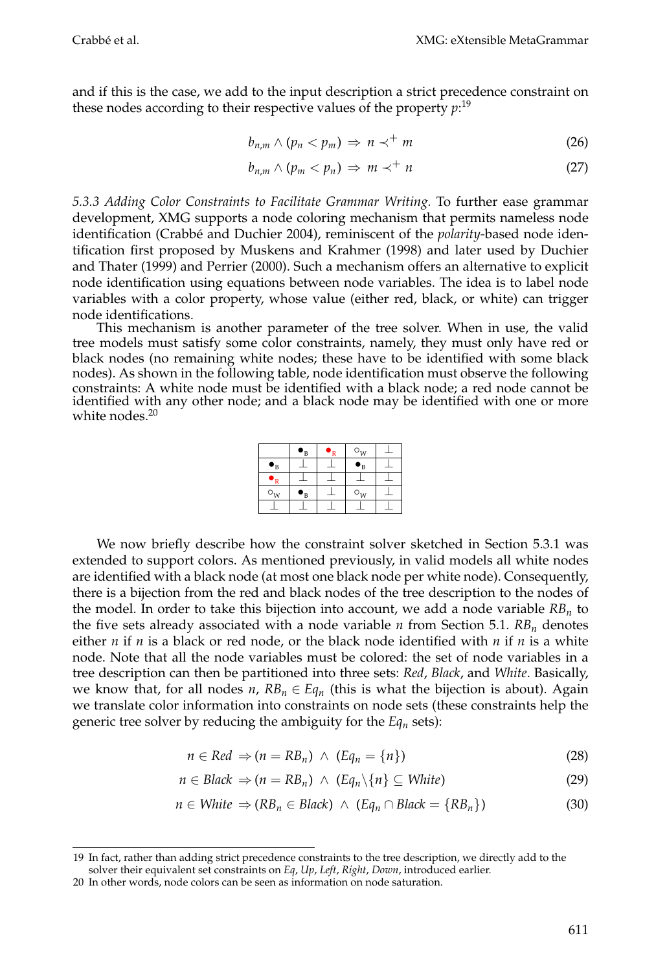and if this is the case, we add to the input description a strict precedence constraint on these nodes according to their respective values of the property *p*: 19

$$
b_{n,m} \wedge (p_n < p_m) \Rightarrow n \prec^+ m \tag{26}
$$

$$
b_{n,m} \wedge (p_m < p_n) \Rightarrow m \prec^+ n \tag{27}
$$

*5.3.3 Adding Color Constraints to Facilitate Grammar Writing.* To further ease grammar development, XMG supports a node coloring mechanism that permits nameless node identification (Crabbé and Duchier 2004), reminiscent of the *polarity-based* node identification first proposed by Muskens and Krahmer (1998) and later used by Duchier and Thater (1999) and Perrier (2000). Such a mechanism offers an alternative to explicit node identification using equations between node variables. The idea is to label node variables with a color property, whose value (either red, black, or white) can trigger node identifications.

This mechanism is another parameter of the tree solver. When in use, the valid tree models must satisfy some color constraints, namely, they must only have red or black nodes (no remaining white nodes; these have to be identified with some black nodes). As shown in the following table, node identification must observe the following constraints: A white node must be identified with a black node; a red node cannot be identified with any other node; and a black node may be identified with one or more white nodes.<sup>20</sup>

|                                          | $\bullet_{\textsc{b}}$ | R | $\circ_w$ |  |
|------------------------------------------|------------------------|---|-----------|--|
| $\bullet_{\text{B}}$                     |                        |   | 'B        |  |
|                                          |                        |   |           |  |
| $\circ_{\scriptscriptstyle{\mathrm{W}}}$ | 'B                     |   | $\circ_w$ |  |
|                                          |                        |   |           |  |

We now briefly describe how the constraint solver sketched in Section 5.3.1 was extended to support colors. As mentioned previously, in valid models all white nodes are identified with a black node (at most one black node per white node). Consequently, there is a bijection from the red and black nodes of the tree description to the nodes of the model. In order to take this bijection into account, we add a node variable  $RB_n$  to the five sets already associated with a node variable  $n$  from Section 5.1.  $RB_n$  denotes either *n* if *n* is a black or red node, or the black node identified with *n* if *n* is a white node. Note that all the node variables must be colored: the set of node variables in a tree description can then be partitioned into three sets: *Red*, *Black*, and *White*. Basically, we know that, for all nodes  $n$ ,  $RB_n \in Eq_n$  (this is what the bijection is about). Again we translate color information into constraints on node sets (these constraints help the generic tree solver by reducing the ambiguity for the  $Eq<sub>n</sub>$  sets):

$$
n \in Red \Rightarrow (n = RB_n) \land (Eq_n = \{n\})
$$
\n(28)

$$
n \in Black \Rightarrow (n = RB_n) \land (Eq_n \setminus \{n\} \subseteq White)
$$
\n(29)

$$
n \in White \Rightarrow (RB_n \in Black) \land (Eq_n \cap Black = \{RB_n\})
$$
\n(30)

<sup>19</sup> In fact, rather than adding strict precedence constraints to the tree description, we directly add to the solver their equivalent set constraints on *Eq*, *Up*, *Left*, *Right*, *Down*, introduced earlier.

<sup>20</sup> In other words, node colors can be seen as information on node saturation.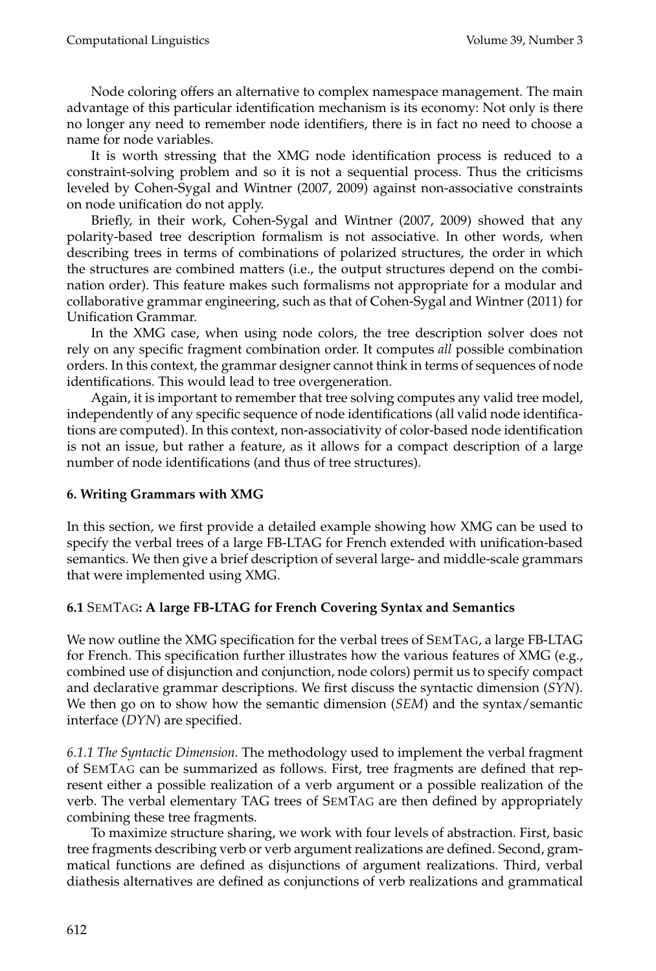Node coloring offers an alternative to complex namespace management. The main advantage of this particular identification mechanism is its economy: Not only is there no longer any need to remember node identifiers, there is in fact no need to choose a name for node variables.

It is worth stressing that the XMG node identification process is reduced to a constraint-solving problem and so it is not a sequential process. Thus the criticisms leveled by Cohen-Sygal and Wintner (2007, 2009) against non-associative constraints on node unification do not apply.

Briefly, in their work, Cohen-Sygal and Wintner (2007, 2009) showed that any polarity-based tree description formalism is not associative. In other words, when describing trees in terms of combinations of polarized structures, the order in which the structures are combined matters (i.e., the output structures depend on the combination order). This feature makes such formalisms not appropriate for a modular and collaborative grammar engineering, such as that of Cohen-Sygal and Wintner (2011) for Unification Grammar.

In the XMG case, when using node colors, the tree description solver does not rely on any specific fragment combination order. It computes *all* possible combination orders. In this context, the grammar designer cannot think in terms of sequences of node identifications. This would lead to tree overgeneration.

Again, it is important to remember that tree solving computes any valid tree model, independently of any specific sequence of node identifications (all valid node identifications are computed). In this context, non-associativity of color-based node identification is not an issue, but rather a feature, as it allows for a compact description of a large number of node identifications (and thus of tree structures).

## **6. Writing Grammars with XMG**

In this section, we first provide a detailed example showing how XMG can be used to specify the verbal trees of a large FB-LTAG for French extended with unification-based semantics. We then give a brief description of several large- and middle-scale grammars that were implemented using XMG.

## **6.1** SEMTAG**: A large FB-LTAG for French Covering Syntax and Semantics**

We now outline the XMG specification for the verbal trees of SEMTAG, a large FB-LTAG for French. This specification further illustrates how the various features of XMG (e.g., combined use of disjunction and conjunction, node colors) permit us to specify compact and declarative grammar descriptions. We first discuss the syntactic dimension (*SYN*). We then go on to show how the semantic dimension (*SEM*) and the syntax/semantic interface (*DYN*) are specified.

*6.1.1 The Syntactic Dimension.* The methodology used to implement the verbal fragment of SEMTAG can be summarized as follows. First, tree fragments are defined that represent either a possible realization of a verb argument or a possible realization of the verb. The verbal elementary TAG trees of SEMTAG are then defined by appropriately combining these tree fragments.

To maximize structure sharing, we work with four levels of abstraction. First, basic tree fragments describing verb or verb argument realizations are defined. Second, grammatical functions are defined as disjunctions of argument realizations. Third, verbal diathesis alternatives are defined as conjunctions of verb realizations and grammatical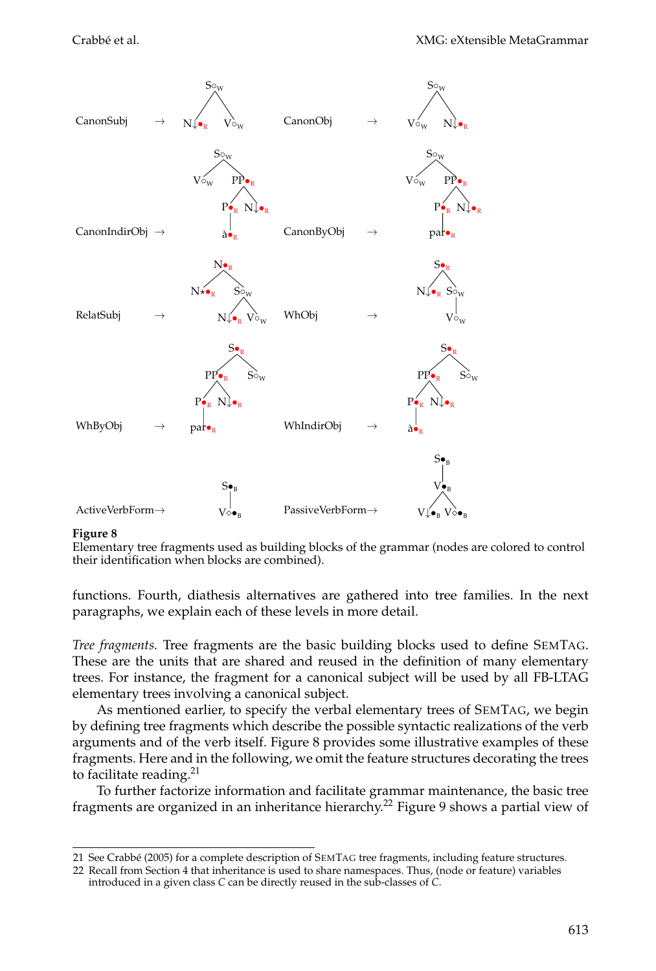

#### **Figure 8**

Elementary tree fragments used as building blocks of the grammar (nodes are colored to control their identification when blocks are combined).

functions. Fourth, diathesis alternatives are gathered into tree families. In the next paragraphs, we explain each of these levels in more detail.

*Tree fragments.* Tree fragments are the basic building blocks used to define SEMTAG. These are the units that are shared and reused in the definition of many elementary trees. For instance, the fragment for a canonical subject will be used by all FB-LTAG elementary trees involving a canonical subject.

As mentioned earlier, to specify the verbal elementary trees of SEMTAG, we begin by defining tree fragments which describe the possible syntactic realizations of the verb arguments and of the verb itself. Figure 8 provides some illustrative examples of these fragments. Here and in the following, we omit the feature structures decorating the trees to facilitate reading. $21$ 

To further factorize information and facilitate grammar maintenance, the basic tree fragments are organized in an inheritance hierarchy.22 Figure 9 shows a partial view of

<sup>21</sup> See Crabbé (2005) for a complete description of SEMTAG tree fragments, including feature structures.

<sup>22</sup> Recall from Section 4 that inheritance is used to share namespaces. Thus, (node or feature) variables

introduced in a given class *C* can be directly reused in the sub-classes of *C*.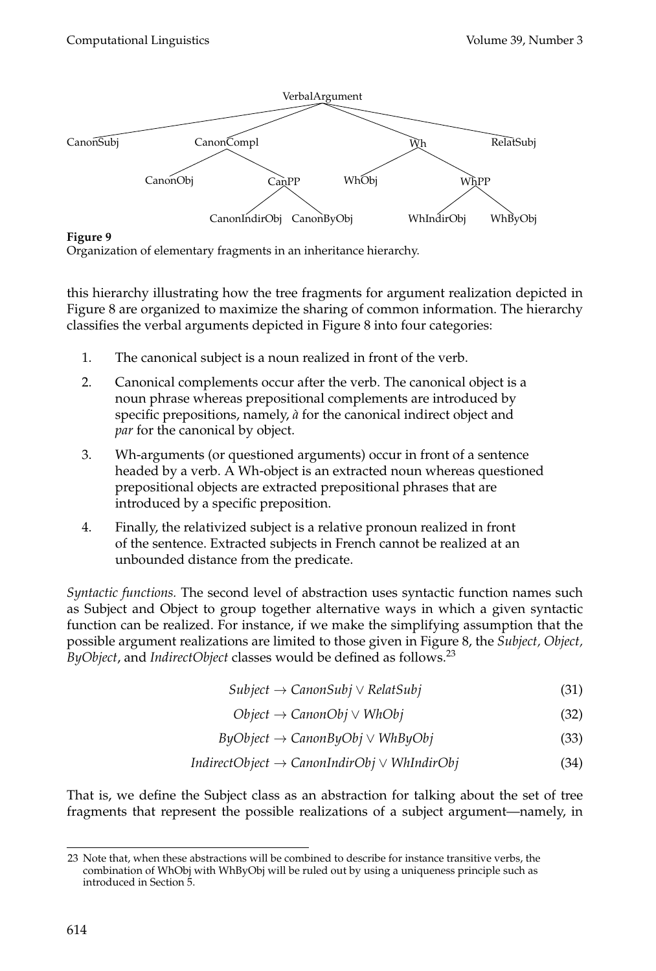

## **Figure 9**

Organization of elementary fragments in an inheritance hierarchy.

this hierarchy illustrating how the tree fragments for argument realization depicted in Figure 8 are organized to maximize the sharing of common information. The hierarchy classifies the verbal arguments depicted in Figure 8 into four categories:

- 1. The canonical subject is a noun realized in front of the verb.
- 2. Canonical complements occur after the verb. The canonical object is a noun phrase whereas prepositional complements are introduced by specific prepositions, namely, *a`* for the canonical indirect object and *par* for the canonical by object.
- 3. Wh-arguments (or questioned arguments) occur in front of a sentence headed by a verb. A Wh-object is an extracted noun whereas questioned prepositional objects are extracted prepositional phrases that are introduced by a specific preposition.
- 4. Finally, the relativized subject is a relative pronoun realized in front of the sentence. Extracted subjects in French cannot be realized at an unbounded distance from the predicate.

*Syntactic functions.* The second level of abstraction uses syntactic function names such as Subject and Object to group together alternative ways in which a given syntactic function can be realized. For instance, if we make the simplifying assumption that the possible argument realizations are limited to those given in Figure 8, the *Subject, Object, ByObject*, and *IndirectObject* classes would be defined as follows.23

- *Subject* → *CanonSubj* ∨ *RelatSubj* (31)
- *Object* → *CanonObj* ∨ *WhObj* (32)
- *ByObject* → *CanonByObj* ∨ *WhByObj* (33)
- *IndirectObject* → *CanonIndirObj* ∨ *WhIndirObj* (34)

That is, we define the Subject class as an abstraction for talking about the set of tree fragments that represent the possible realizations of a subject argument—namely, in

<sup>23</sup> Note that, when these abstractions will be combined to describe for instance transitive verbs, the combination of WhObj with WhByObj will be ruled out by using a uniqueness principle such as introduced in Section 5.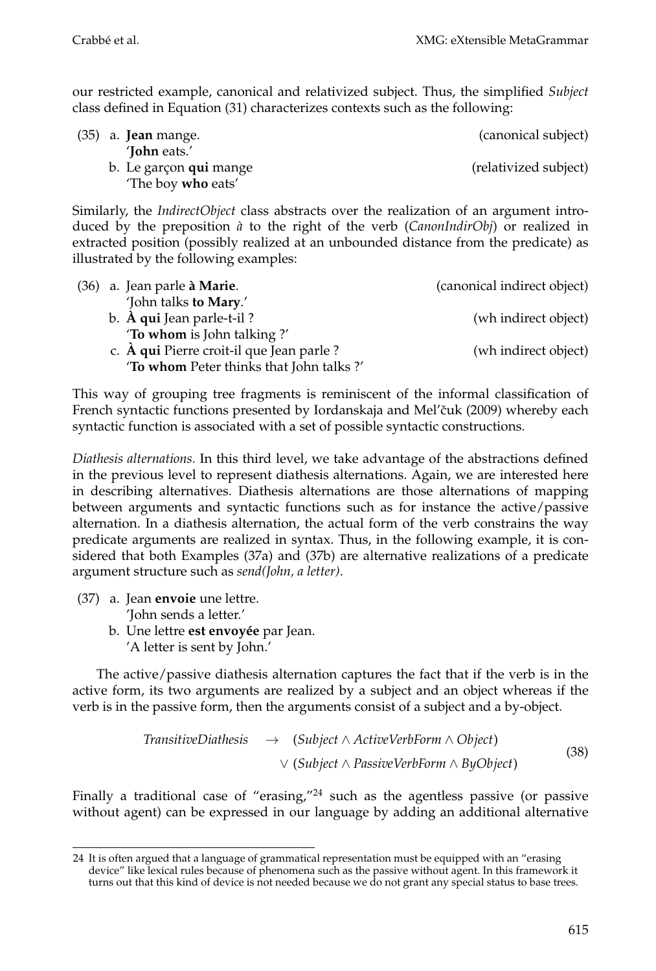our restricted example, canonical and relativized subject. Thus, the simplified *Subject* class defined in Equation (31) characterizes contexts such as the following:

| $(35)$ a. <b>Jean</b> mange. | (canonical subject)   |
|------------------------------|-----------------------|
| ' <b>John</b> eats.'         |                       |
| b. Le garçon qui mange       | (relativized subject) |
| 'The boy <b>who</b> eats'    |                       |

Similarly, the *IndirectObject* class abstracts over the realization of an argument introduced by the preposition *a`* to the right of the verb (*CanonIndirObj*) or realized in extracted position (possibly realized at an unbounded distance from the predicate) as illustrated by the following examples:

| (36) a. Jean parle à Marie.                       | (canonical indirect object) |
|---------------------------------------------------|-----------------------------|
| 'John talks to Mary.'                             |                             |
| b. À qui Jean parle-t-il?                         | (wh indirect object)        |
| 'To whom is John talking?'                        |                             |
| c. $\hat{A}$ qui Pierre croit-il que Jean parle ? | (wh indirect object)        |
| 'To whom Peter thinks that John talks?'           |                             |

This way of grouping tree fragments is reminiscent of the informal classification of French syntactic functions presented by Iordanskaja and Mel'čuk (2009) whereby each syntactic function is associated with a set of possible syntactic constructions.

*Diathesis alternations.* In this third level, we take advantage of the abstractions defined in the previous level to represent diathesis alternations. Again, we are interested here in describing alternatives. Diathesis alternations are those alternations of mapping between arguments and syntactic functions such as for instance the active/passive alternation. In a diathesis alternation, the actual form of the verb constrains the way predicate arguments are realized in syntax. Thus, in the following example, it is considered that both Examples (37a) and (37b) are alternative realizations of a predicate argument structure such as *send(John, a letter)*.

- (37) a. Jean **envoie** une lettre. 'John sends a letter.'
	- b. Une lettre *est envoyée* par Jean. 'A letter is sent by John.'

The active/passive diathesis alternation captures the fact that if the verb is in the active form, its two arguments are realized by a subject and an object whereas if the verb is in the passive form, then the arguments consist of a subject and a by-object.

$$
Transitive Diathesis \rightarrow (Subject \land ActiveVerbForm \land Object)
$$
  

$$
\lor (Subject \land BasicVerbForm \land ByObject)
$$
 (38)

Finally a traditional case of "erasing," $^{24}$  such as the agentless passive (or passive without agent) can be expressed in our language by adding an additional alternative

<sup>24</sup> It is often argued that a language of grammatical representation must be equipped with an "erasing device" like lexical rules because of phenomena such as the passive without agent. In this framework it turns out that this kind of device is not needed because we do not grant any special status to base trees.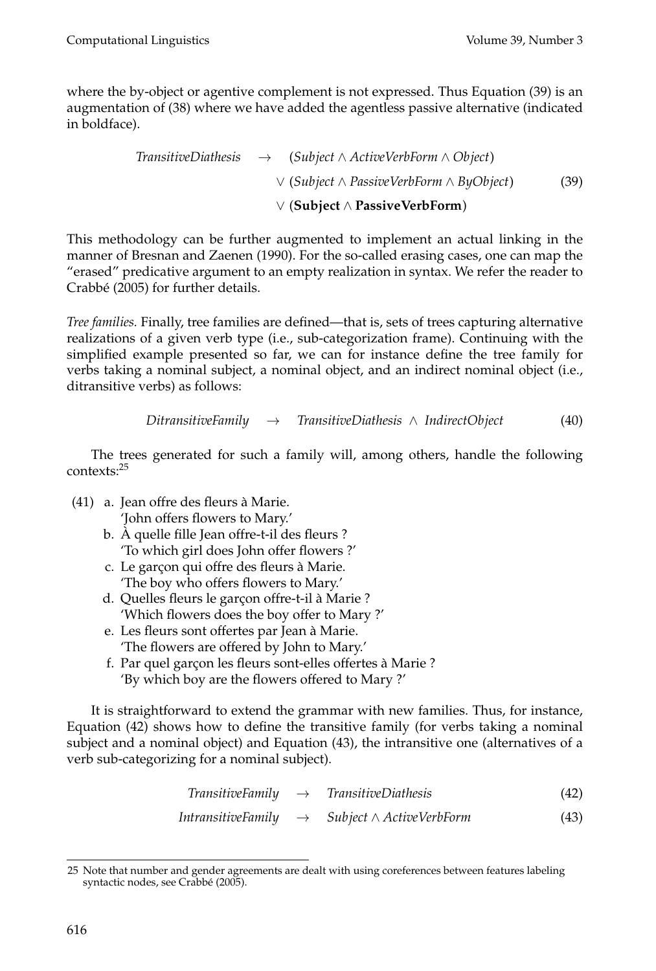where the by-object or agentive complement is not expressed. Thus Equation (39) is an augmentation of (38) where we have added the agentless passive alternative (indicated in boldface).

> *TransitiveDiathesis* → (*Subject* ∧ *ActiveVerbForm* ∧ *Object*) ∨ (*Subject* ∧ *PassiveVerbForm* ∧ *ByObject*) ∨ (**Subject** ∧ **PassiveVerbForm**) (39)

This methodology can be further augmented to implement an actual linking in the manner of Bresnan and Zaenen (1990). For the so-called erasing cases, one can map the "erased" predicative argument to an empty realization in syntax. We refer the reader to Crabbé (2005) for further details.

*Tree families.* Finally, tree families are defined—that is, sets of trees capturing alternative realizations of a given verb type (i.e., sub-categorization frame). Continuing with the simplified example presented so far, we can for instance define the tree family for verbs taking a nominal subject, a nominal object, and an indirect nominal object (i.e., ditransitive verbs) as follows:

```
DitransitiveFamily → TransitiveDiathesis ∧ IndirectObject (40)
```
The trees generated for such a family will, among others, handle the following contexts:<sup>25</sup>

- (41) a. Jean offre des fleurs a Marie. ` 'John offers flowers to Mary.'
	- b. A quelle fille Jean offre-t-il des fleurs ? ` 'To which girl does John offer flowers ?'
	- c. Le garçon qui offre des fleurs à Marie. 'The boy who offers flowers to Mary.'
	- d. Quelles fleurs le garçon offre-t-il à Marie ? 'Which flowers does the boy offer to Mary ?'
	- e. Les fleurs sont offertes par Jean a Marie. ` 'The flowers are offered by John to Mary.'
	- f. Par quel garçon les fleurs sont-elles offertes à Marie ? 'By which boy are the flowers offered to Mary ?'

It is straightforward to extend the grammar with new families. Thus, for instance, Equation (42) shows how to define the transitive family (for verbs taking a nominal subject and a nominal object) and Equation (43), the intransitive one (alternatives of a verb sub-categorizing for a nominal subject).

$$
Transitive Family \rightarrow TransitiveDialhesis \qquad (42)
$$

$$
In transitive Family \rightarrow Subject \land ActiveVerbForm \tag{43}
$$

<sup>25</sup> Note that number and gender agreements are dealt with using coreferences between features labeling syntactic nodes, see Crabbé (2005).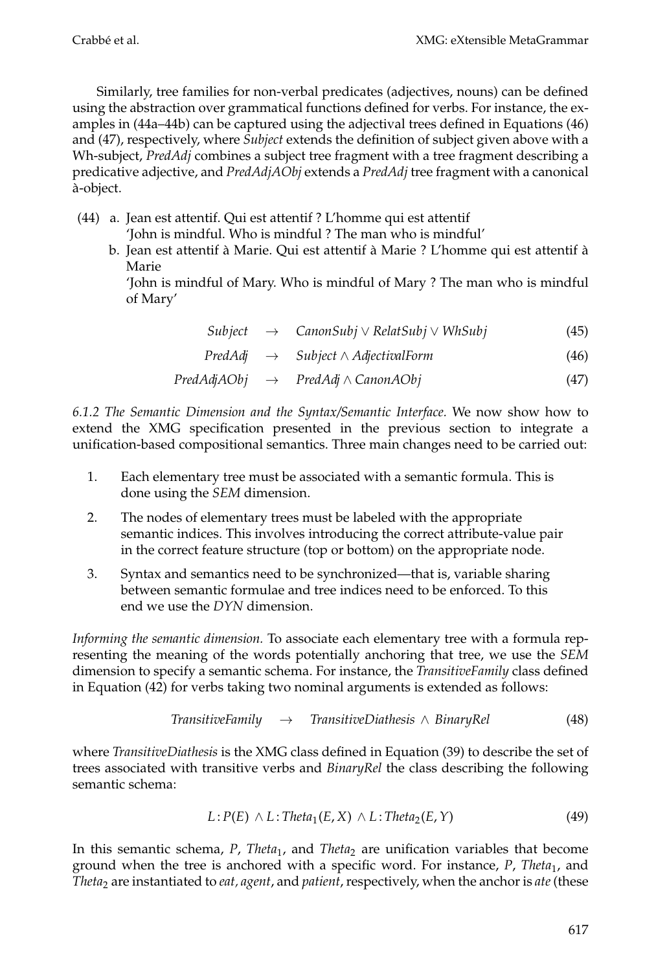Similarly, tree families for non-verbal predicates (adjectives, nouns) can be defined using the abstraction over grammatical functions defined for verbs. For instance, the examples in (44a–44b) can be captured using the adjectival trees defined in Equations (46) and (47), respectively, where *Subject* extends the definition of subject given above with a Wh-subject, *PredAdj* combines a subject tree fragment with a tree fragment describing a predicative adjective, and *PredAdjAObj* extends a *PredAdj* tree fragment with a canonical a-object. `

- (44) a. Jean est attentif. Qui est attentif ? L'homme qui est attentif 'John is mindful. Who is mindful ? The man who is mindful'
	- b. Jean est attentif à Marie. Qui est attentif à Marie ? L'homme qui est attentif à Marie

'John is mindful of Mary. Who is mindful of Mary ? The man who is mindful of Mary'

| Subject |  | $CanonSubj \vee RelatSubj \vee WhSubj$ |  | (45) |
|---------|--|----------------------------------------|--|------|
|---------|--|----------------------------------------|--|------|

*PredAdj* → *Subject* ∧ *AdjectivalForm* (46)

$$
PredAdjAObj \rightarrow PredAdj \land CanonAObj \tag{47}
$$

*6.1.2 The Semantic Dimension and the Syntax/Semantic Interface.* We now show how to extend the XMG specification presented in the previous section to integrate a unification-based compositional semantics. Three main changes need to be carried out:

- 1. Each elementary tree must be associated with a semantic formula. This is done using the *SEM* dimension.
- 2. The nodes of elementary trees must be labeled with the appropriate semantic indices. This involves introducing the correct attribute-value pair in the correct feature structure (top or bottom) on the appropriate node.
- 3. Syntax and semantics need to be synchronized—that is, variable sharing between semantic formulae and tree indices need to be enforced. To this end we use the *DYN* dimension.

*Informing the semantic dimension.* To associate each elementary tree with a formula representing the meaning of the words potentially anchoring that tree, we use the *SEM* dimension to specify a semantic schema. For instance, the *TransitiveFamily* class defined in Equation (42) for verbs taking two nominal arguments is extended as follows:

TransitiveFamily 
$$
\rightarrow
$$
 TransitiveDialhesis  $\land$  BinaryRel (48)

where *TransitiveDiathesis* is the XMG class defined in Equation (39) to describe the set of trees associated with transitive verbs and *BinaryRel* the class describing the following semantic schema:

$$
L: P(E) \wedge L:Theta_1(E, X) \wedge L:Theta_2(E, Y)
$$
\n(49)

In this semantic schema, *P*, *Theta*<sub>1</sub>, and *Theta*<sub>2</sub> are unification variables that become ground when the tree is anchored with a specific word. For instance, *P*, *Theta*1, and *Theta*<sup>2</sup> are instantiated to *eat, agent*, and *patient*, respectively, when the anchor is *ate*(these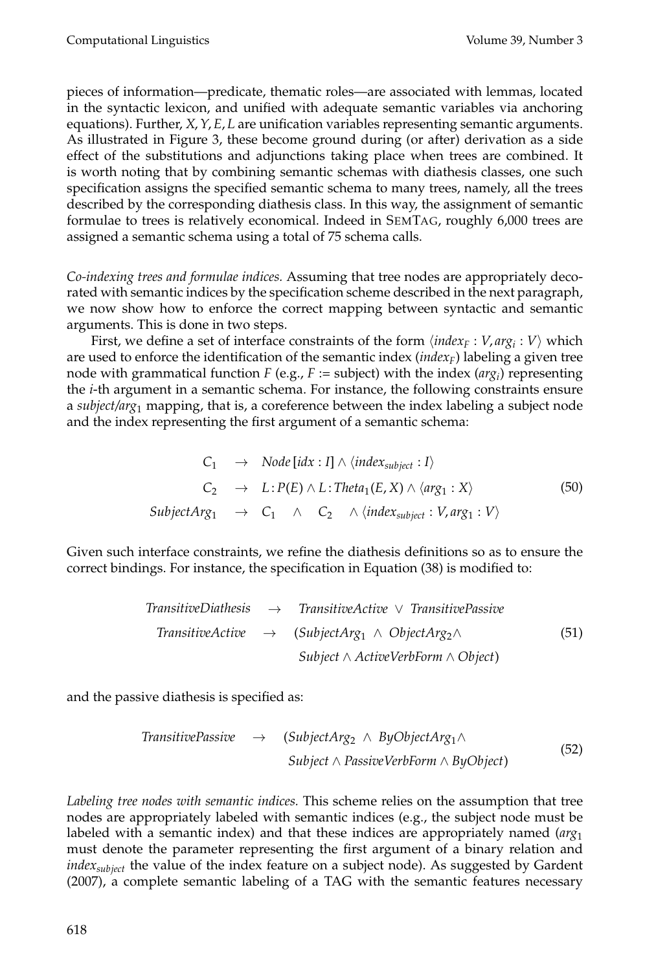pieces of information—predicate, thematic roles—are associated with lemmas, located in the syntactic lexicon, and unified with adequate semantic variables via anchoring equations). Further, *X*,*Y*, *E*, *L* are unification variables representing semantic arguments. As illustrated in Figure 3, these become ground during (or after) derivation as a side effect of the substitutions and adjunctions taking place when trees are combined. It is worth noting that by combining semantic schemas with diathesis classes, one such specification assigns the specified semantic schema to many trees, namely, all the trees described by the corresponding diathesis class. In this way, the assignment of semantic formulae to trees is relatively economical. Indeed in SEMTAG, roughly 6,000 trees are assigned a semantic schema using a total of 75 schema calls.

*Co-indexing trees and formulae indices.* Assuming that tree nodes are appropriately decorated with semantic indices by the specification scheme described in the next paragraph, we now show how to enforce the correct mapping between syntactic and semantic arguments. This is done in two steps.

First, we define a set of interface constraints of the form  $\langle \textit{index}_F : V, \textit{arg}_i : V \rangle$  which are used to enforce the identification of the semantic index (*index<sub>F</sub>*) labeling a given tree node with grammatical function *F* (e.g., *F* := subject) with the index ( $arg<sub>i</sub>$ ) representing the *i*-th argument in a semantic schema. For instance, the following constraints ensure a *subject/arg*<sup>1</sup> mapping, that is, a coreference between the index labeling a subject node and the index representing the first argument of a semantic schema:

$$
C_1 \rightarrow Node[idx : I] \land \langle index_{subject} : I \rangle
$$
  
\n
$$
C_2 \rightarrow L : P(E) \land L :Theta_1(E, X) \land \langle arg_1 : X \rangle
$$
  
\n
$$
SubjectArg_1 \rightarrow C_1 \land C_2 \land \langle index_{subject} : V, arg_1 : V \rangle
$$
\n(50)

Given such interface constraints, we refine the diathesis definitions so as to ensure the correct bindings. For instance, the specification in Equation (38) is modified to:

$$
Transitive Diathesis \rightarrow TransitiveActive \lor TransitivePassive
$$
\n
$$
TransitiveActive \rightarrow (SubjectArg_1 \land ObjectArg_2 \land)
$$
\n
$$
Subject \land ActiveVerbForm \land Object)
$$
\n(51)

and the passive diathesis is specified as:

$$
TransitivePassive \rightarrow (SubjectArg_2 \land ByObjectArg_1 \land \text{SubjectArg_2 \land ByObject})
$$
\n
$$
Subject \land PassiveVerbForm \land ByObject)
$$
\n
$$
(52)
$$

*Labeling tree nodes with semantic indices.* This scheme relies on the assumption that tree nodes are appropriately labeled with semantic indices (e.g., the subject node must be labeled with a semantic index) and that these indices are appropriately named (*arg*<sup>1</sup> must denote the parameter representing the first argument of a binary relation and *indexsubject* the value of the index feature on a subject node). As suggested by Gardent (2007), a complete semantic labeling of a TAG with the semantic features necessary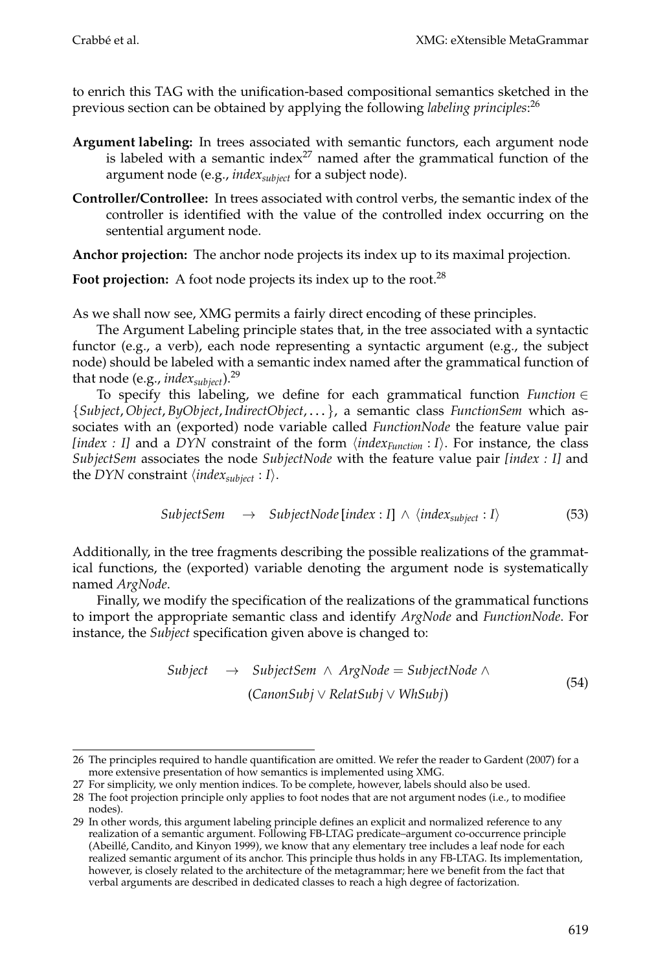to enrich this TAG with the unification-based compositional semantics sketched in the previous section can be obtained by applying the following *labeling principles*: 26

- **Argument labeling:** In trees associated with semantic functors, each argument node is labeled with a semantic index $^{27}$  named after the grammatical function of the argument node (e.g., *indexsubject* for a subject node).
- **Controller/Controllee:** In trees associated with control verbs, the semantic index of the controller is identified with the value of the controlled index occurring on the sentential argument node.

**Anchor projection:** The anchor node projects its index up to its maximal projection.

Foot projection: A foot node projects its index up to the root.<sup>28</sup>

As we shall now see, XMG permits a fairly direct encoding of these principles.

The Argument Labeling principle states that, in the tree associated with a syntactic functor (e.g., a verb), each node representing a syntactic argument (e.g., the subject node) should be labeled with a semantic index named after the grammatical function of that node (e.g., *index<sub>subiect</sub>*).<sup>29</sup>

To specify this labeling, we define for each grammatical function *Function* ∈ {*Subject*, *Object*, *ByObject*, *IndirectObject*, ... }, a semantic class *FunctionSem* which associates with an (exported) node variable called *FunctionNode* the feature value pair *[index : I]* and a *DYN* constraint of the form  $\langle \text{index}_{Function} : I \rangle$ . For instance, the class *SubjectSem* associates the node *SubjectNode* with the feature value pair *[index : I]* and the *DYN* constraint  $\langle \textit{index}_{\textit{subject}} : I \rangle$ .

$$
Subject Sem \rightarrow SubjectNode[index: I] \wedge \langle index_{subject}: I \rangle \tag{53}
$$

Additionally, in the tree fragments describing the possible realizations of the grammatical functions, the (exported) variable denoting the argument node is systematically named *ArgNode*.

Finally, we modify the specification of the realizations of the grammatical functions to import the appropriate semantic class and identify *ArgNode* and *FunctionNode*. For instance, the *Subject* specification given above is changed to:

$$
Subject \rightarrow SubjectSem \land ArgNode = SubjectNode \land \text{(CanonSubj} \lor RelatSubj \lor WhSubj)
$$
\n
$$
(54)
$$

<sup>26</sup> The principles required to handle quantification are omitted. We refer the reader to Gardent (2007) for a more extensive presentation of how semantics is implemented using XMG.

<sup>27</sup> For simplicity, we only mention indices. To be complete, however, labels should also be used.

<sup>28</sup> The foot projection principle only applies to foot nodes that are not argument nodes (i.e., to modifiee nodes).

<sup>29</sup> In other words, this argument labeling principle defines an explicit and normalized reference to any realization of a semantic argument. Following FB-LTAG predicate–argument co-occurrence principle (Abeille, Candito, and Kinyon 1999), we know that any elementary tree includes a leaf node for each ´ realized semantic argument of its anchor. This principle thus holds in any FB-LTAG. Its implementation, however, is closely related to the architecture of the metagrammar; here we benefit from the fact that verbal arguments are described in dedicated classes to reach a high degree of factorization.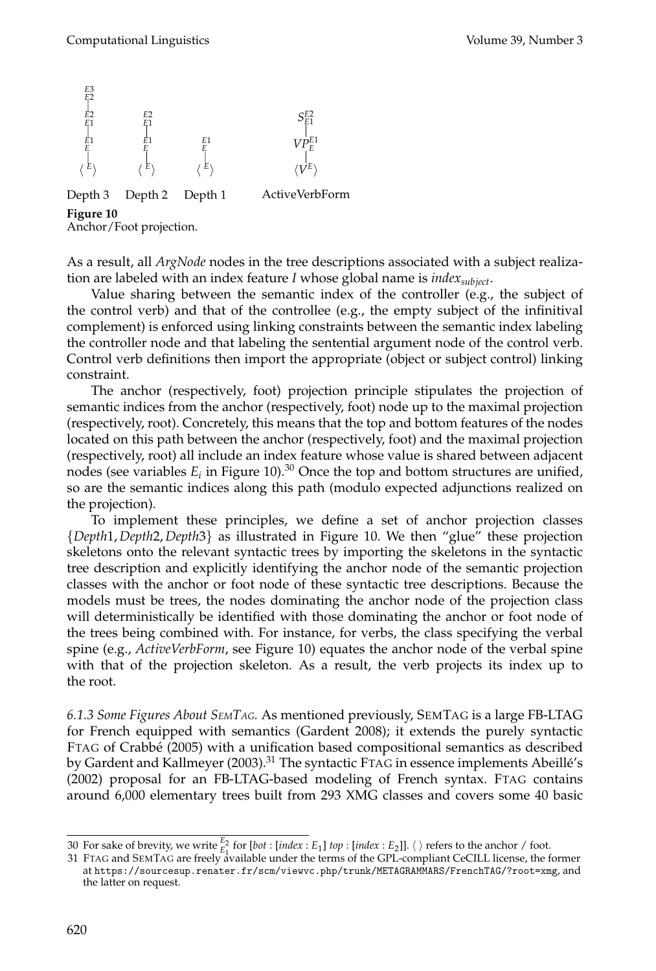

Anchor/Foot projection.

As a result, all *ArgNode* nodes in the tree descriptions associated with a subject realization are labeled with an index feature *I* whose global name is *index<sub>subiect</sub>*.

Value sharing between the semantic index of the controller (e.g., the subject of the control verb) and that of the controllee (e.g., the empty subject of the infinitival complement) is enforced using linking constraints between the semantic index labeling the controller node and that labeling the sentential argument node of the control verb. Control verb definitions then import the appropriate (object or subject control) linking constraint.

The anchor (respectively, foot) projection principle stipulates the projection of semantic indices from the anchor (respectively, foot) node up to the maximal projection (respectively, root). Concretely, this means that the top and bottom features of the nodes located on this path between the anchor (respectively, foot) and the maximal projection (respectively, root) all include an index feature whose value is shared between adjacent nodes (see variables  $E_i$  in Figure 10).<sup>30</sup> Once the top and bottom structures are unified, so are the semantic indices along this path (modulo expected adjunctions realized on the projection).

To implement these principles, we define a set of anchor projection classes {*Depth*1, *Depth*2, *Depth*3} as illustrated in Figure 10. We then "glue" these projection skeletons onto the relevant syntactic trees by importing the skeletons in the syntactic tree description and explicitly identifying the anchor node of the semantic projection classes with the anchor or foot node of these syntactic tree descriptions. Because the models must be trees, the nodes dominating the anchor node of the projection class will deterministically be identified with those dominating the anchor or foot node of the trees being combined with. For instance, for verbs, the class specifying the verbal spine (e.g., *ActiveVerbForm*, see Figure 10) equates the anchor node of the verbal spine with that of the projection skeleton. As a result, the verb projects its index up to the root.

*6.1.3 Some Figures About SEMTAG.* As mentioned previously, SEMTAG is a large FB-LTAG for French equipped with semantics (Gardent 2008); it extends the purely syntactic FTAG of Crabbe (2005) with a unification based compositional semantics as described ´ by Gardent and Kallmeyer (2003).<sup>31</sup> The syntactic FTAG in essence implements Abeillé's (2002) proposal for an FB-LTAG-based modeling of French syntax. FTAG contains around 6,000 elementary trees built from 293 XMG classes and covers some 40 basic

<sup>30</sup> For sake of brevity, we write  $\frac{E_2}{E_1}$  for  $[bot : [index : E_1]$  *top* :  $[index : E_2]]$ .  $\langle$  refers to the anchor / foot.<br>21 Fax 6 and Cax Te 6 and for the same in the same in the transport the CDL same limit GeCU I linear the

<sup>31</sup> FTAG and SEMTAG are freely available under the terms of the GPL-compliant CeCILL license, the former at https://sourcesup.renater.fr/scm/viewvc.php/trunk/METAGRAMMARS/FrenchTAG/?root=xmg, and the latter on request.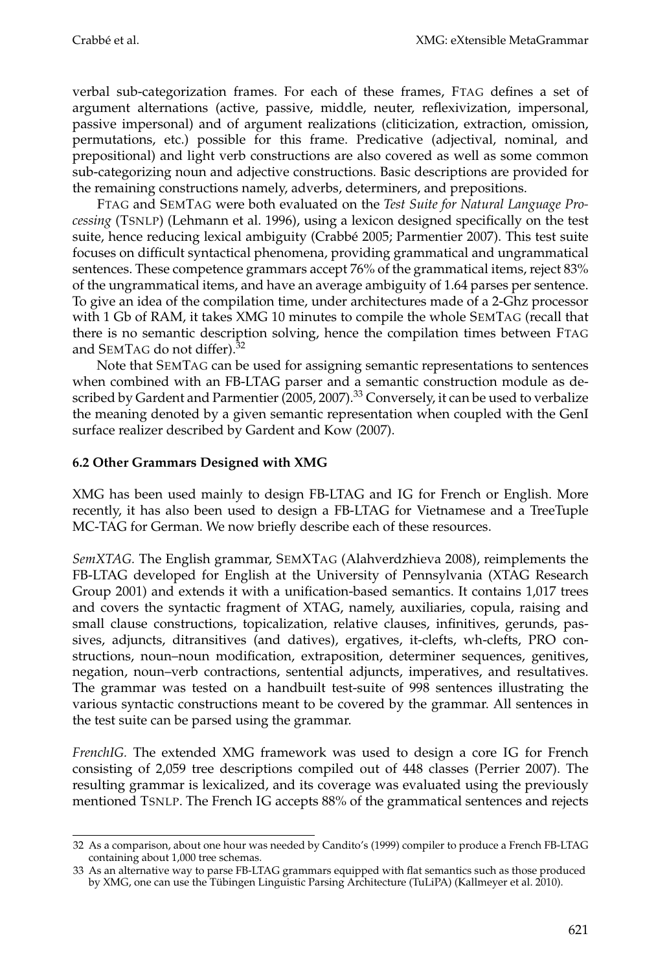verbal sub-categorization frames. For each of these frames, FTAG defines a set of argument alternations (active, passive, middle, neuter, reflexivization, impersonal, passive impersonal) and of argument realizations (cliticization, extraction, omission, permutations, etc.) possible for this frame. Predicative (adjectival, nominal, and prepositional) and light verb constructions are also covered as well as some common sub-categorizing noun and adjective constructions. Basic descriptions are provided for the remaining constructions namely, adverbs, determiners, and prepositions.

FTAG and SEMTAG were both evaluated on the *Test Suite for Natural Language Processing* (TSNLP) (Lehmann et al. 1996), using a lexicon designed specifically on the test suite, hence reducing lexical ambiguity (Crabbé 2005; Parmentier 2007). This test suite focuses on difficult syntactical phenomena, providing grammatical and ungrammatical sentences. These competence grammars accept 76% of the grammatical items, reject 83% of the ungrammatical items, and have an average ambiguity of 1.64 parses per sentence. To give an idea of the compilation time, under architectures made of a 2-Ghz processor with 1 Gb of RAM, it takes XMG 10 minutes to compile the whole SEMTAG (recall that there is no semantic description solving, hence the compilation times between FTAG and SEMTAG do not differ).<sup>32</sup>

Note that SEMTAG can be used for assigning semantic representations to sentences when combined with an FB-LTAG parser and a semantic construction module as described by Gardent and Parmentier  $(2005, 2007)$ .<sup>33</sup> Conversely, it can be used to verbalize the meaning denoted by a given semantic representation when coupled with the GenI surface realizer described by Gardent and Kow (2007).

## **6.2 Other Grammars Designed with XMG**

XMG has been used mainly to design FB-LTAG and IG for French or English. More recently, it has also been used to design a FB-LTAG for Vietnamese and a TreeTuple MC-TAG for German. We now briefly describe each of these resources.

*SemXTAG.* The English grammar, SEMXTAG (Alahverdzhieva 2008), reimplements the FB-LTAG developed for English at the University of Pennsylvania (XTAG Research Group 2001) and extends it with a unification-based semantics. It contains 1,017 trees and covers the syntactic fragment of XTAG, namely, auxiliaries, copula, raising and small clause constructions, topicalization, relative clauses, infinitives, gerunds, passives, adjuncts, ditransitives (and datives), ergatives, it-clefts, wh-clefts, PRO constructions, noun–noun modification, extraposition, determiner sequences, genitives, negation, noun–verb contractions, sentential adjuncts, imperatives, and resultatives. The grammar was tested on a handbuilt test-suite of 998 sentences illustrating the various syntactic constructions meant to be covered by the grammar. All sentences in the test suite can be parsed using the grammar.

*FrenchIG.* The extended XMG framework was used to design a core IG for French consisting of 2,059 tree descriptions compiled out of 448 classes (Perrier 2007). The resulting grammar is lexicalized, and its coverage was evaluated using the previously mentioned TSNLP. The French IG accepts 88% of the grammatical sentences and rejects

<sup>32</sup> As a comparison, about one hour was needed by Candito's (1999) compiler to produce a French FB-LTAG containing about 1,000 tree schemas.

<sup>33</sup> As an alternative way to parse FB-LTAG grammars equipped with flat semantics such as those produced by XMG, one can use the Tübingen Linguistic Parsing Architecture (TuLiPA) (Kallmeyer et al. 2010).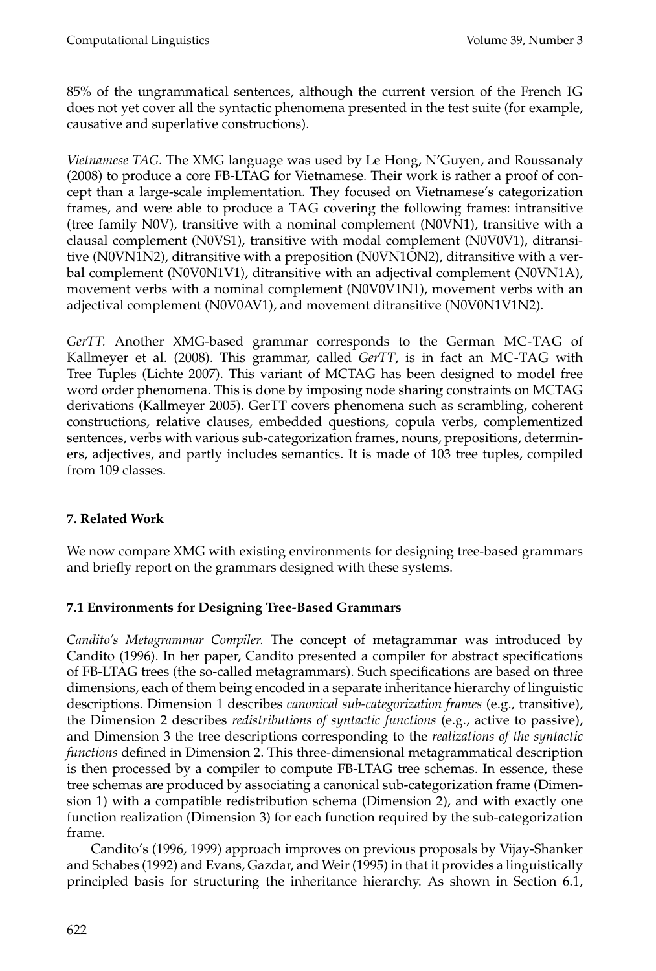85% of the ungrammatical sentences, although the current version of the French IG does not yet cover all the syntactic phenomena presented in the test suite (for example, causative and superlative constructions).

*Vietnamese TAG.* The XMG language was used by Le Hong, N'Guyen, and Roussanaly (2008) to produce a core FB-LTAG for Vietnamese. Their work is rather a proof of concept than a large-scale implementation. They focused on Vietnamese's categorization frames, and were able to produce a TAG covering the following frames: intransitive (tree family N0V), transitive with a nominal complement (N0VN1), transitive with a clausal complement (N0VS1), transitive with modal complement (N0V0V1), ditransitive (N0VN1N2), ditransitive with a preposition (N0VN1ON2), ditransitive with a verbal complement (N0V0N1V1), ditransitive with an adjectival complement (N0VN1A), movement verbs with a nominal complement (N0V0V1N1), movement verbs with an adjectival complement (N0V0AV1), and movement ditransitive (N0V0N1V1N2).

*GerTT.* Another XMG-based grammar corresponds to the German MC-TAG of Kallmeyer et al. (2008). This grammar, called *GerTT*, is in fact an MC-TAG with Tree Tuples (Lichte 2007). This variant of MCTAG has been designed to model free word order phenomena. This is done by imposing node sharing constraints on MCTAG derivations (Kallmeyer 2005). GerTT covers phenomena such as scrambling, coherent constructions, relative clauses, embedded questions, copula verbs, complementized sentences, verbs with various sub-categorization frames, nouns, prepositions, determiners, adjectives, and partly includes semantics. It is made of 103 tree tuples, compiled from 109 classes.

## **7. Related Work**

We now compare XMG with existing environments for designing tree-based grammars and briefly report on the grammars designed with these systems.

## **7.1 Environments for Designing Tree-Based Grammars**

*Candito's Metagrammar Compiler.* The concept of metagrammar was introduced by Candito (1996). In her paper, Candito presented a compiler for abstract specifications of FB-LTAG trees (the so-called metagrammars). Such specifications are based on three dimensions, each of them being encoded in a separate inheritance hierarchy of linguistic descriptions. Dimension 1 describes *canonical sub-categorization frames* (e.g., transitive), the Dimension 2 describes *redistributions of syntactic functions* (e.g., active to passive), and Dimension 3 the tree descriptions corresponding to the *realizations of the syntactic functions* defined in Dimension 2. This three-dimensional metagrammatical description is then processed by a compiler to compute FB-LTAG tree schemas. In essence, these tree schemas are produced by associating a canonical sub-categorization frame (Dimension 1) with a compatible redistribution schema (Dimension 2), and with exactly one function realization (Dimension 3) for each function required by the sub-categorization frame.

Candito's (1996, 1999) approach improves on previous proposals by Vijay-Shanker and Schabes (1992) and Evans, Gazdar, and Weir (1995) in that it provides a linguistically principled basis for structuring the inheritance hierarchy. As shown in Section 6.1,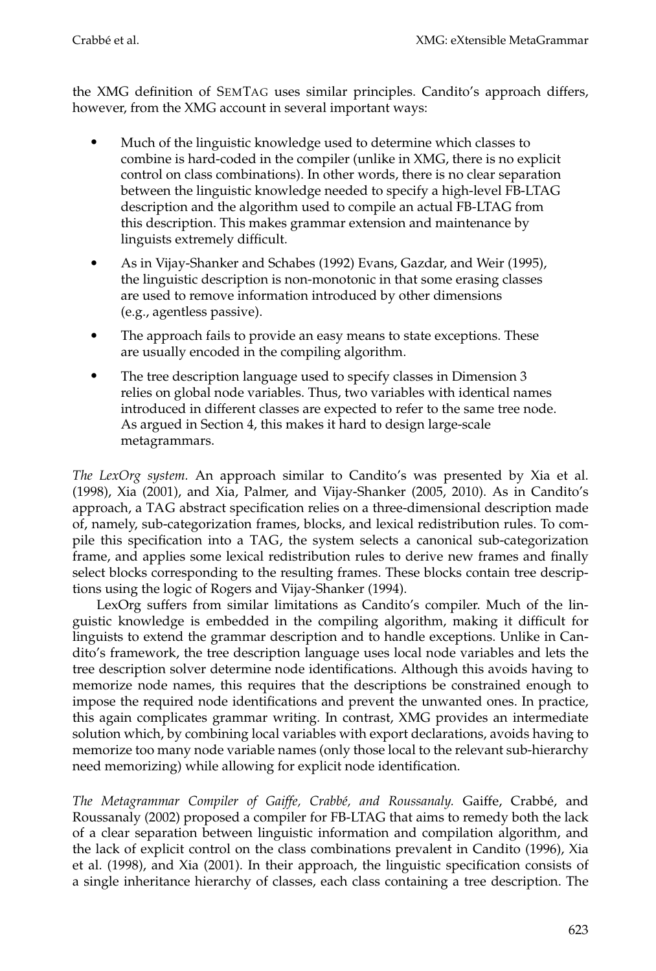the XMG definition of SEMTAG uses similar principles. Candito's approach differs, however, from the XMG account in several important ways:

- $\bullet$  Much of the linguistic knowledge used to determine which classes to combine is hard-coded in the compiler (unlike in XMG, there is no explicit control on class combinations). In other words, there is no clear separation between the linguistic knowledge needed to specify a high-level FB-LTAG description and the algorithm used to compile an actual FB-LTAG from this description. This makes grammar extension and maintenance by linguists extremely difficult.
- $\bullet$  As in Vijay-Shanker and Schabes (1992) Evans, Gazdar, and Weir (1995), the linguistic description is non-monotonic in that some erasing classes are used to remove information introduced by other dimensions (e.g., agentless passive).
- - The approach fails to provide an easy means to state exceptions. These are usually encoded in the compiling algorithm.
- $\bullet$  The tree description language used to specify classes in Dimension 3 relies on global node variables. Thus, two variables with identical names introduced in different classes are expected to refer to the same tree node. As argued in Section 4, this makes it hard to design large-scale metagrammars.

*The LexOrg system.* An approach similar to Candito's was presented by Xia et al. (1998), Xia (2001), and Xia, Palmer, and Vijay-Shanker (2005, 2010). As in Candito's approach, a TAG abstract specification relies on a three-dimensional description made of, namely, sub-categorization frames, blocks, and lexical redistribution rules. To compile this specification into a TAG, the system selects a canonical sub-categorization frame, and applies some lexical redistribution rules to derive new frames and finally select blocks corresponding to the resulting frames. These blocks contain tree descriptions using the logic of Rogers and Vijay-Shanker (1994).

LexOrg suffers from similar limitations as Candito's compiler. Much of the linguistic knowledge is embedded in the compiling algorithm, making it difficult for linguists to extend the grammar description and to handle exceptions. Unlike in Candito's framework, the tree description language uses local node variables and lets the tree description solver determine node identifications. Although this avoids having to memorize node names, this requires that the descriptions be constrained enough to impose the required node identifications and prevent the unwanted ones. In practice, this again complicates grammar writing. In contrast, XMG provides an intermediate solution which, by combining local variables with export declarations, avoids having to memorize too many node variable names (only those local to the relevant sub-hierarchy need memorizing) while allowing for explicit node identification.

*The Metagrammar Compiler of Gaiffe, Crabb´e, and Roussanaly.* Gaiffe, Crabbe, and ´ Roussanaly (2002) proposed a compiler for FB-LTAG that aims to remedy both the lack of a clear separation between linguistic information and compilation algorithm, and the lack of explicit control on the class combinations prevalent in Candito (1996), Xia et al. (1998), and Xia (2001). In their approach, the linguistic specification consists of a single inheritance hierarchy of classes, each class containing a tree description. The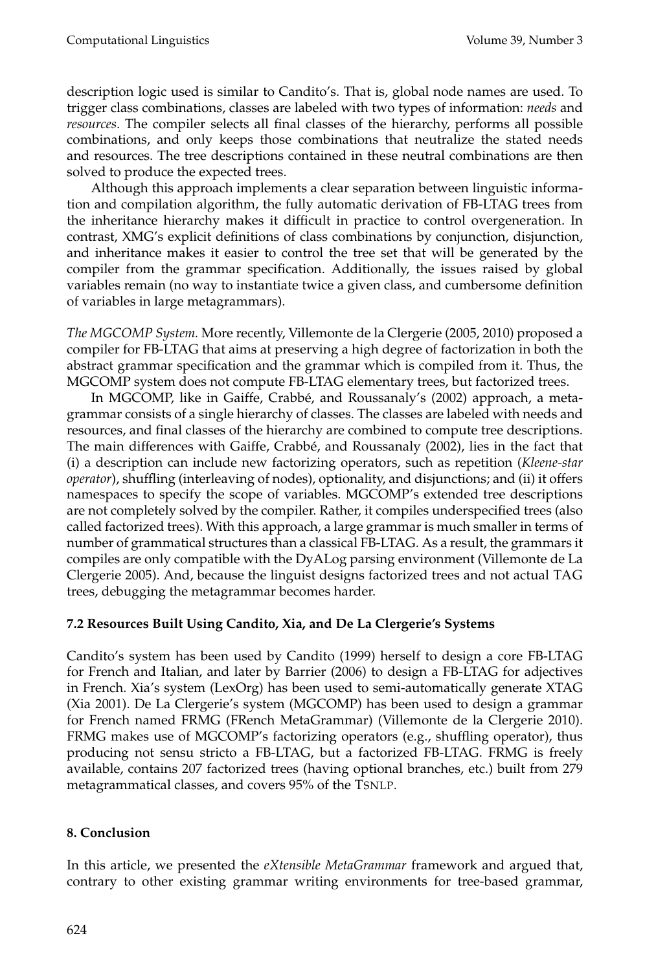description logic used is similar to Candito's. That is, global node names are used. To trigger class combinations, classes are labeled with two types of information: *needs* and *resources*. The compiler selects all final classes of the hierarchy, performs all possible combinations, and only keeps those combinations that neutralize the stated needs and resources. The tree descriptions contained in these neutral combinations are then solved to produce the expected trees.

Although this approach implements a clear separation between linguistic information and compilation algorithm, the fully automatic derivation of FB-LTAG trees from the inheritance hierarchy makes it difficult in practice to control overgeneration. In contrast, XMG's explicit definitions of class combinations by conjunction, disjunction, and inheritance makes it easier to control the tree set that will be generated by the compiler from the grammar specification. Additionally, the issues raised by global variables remain (no way to instantiate twice a given class, and cumbersome definition of variables in large metagrammars).

*The MGCOMP System.* More recently, Villemonte de la Clergerie (2005, 2010) proposed a compiler for FB-LTAG that aims at preserving a high degree of factorization in both the abstract grammar specification and the grammar which is compiled from it. Thus, the MGCOMP system does not compute FB-LTAG elementary trees, but factorized trees.

In MGCOMP, like in Gaiffe, Crabbé, and Roussanaly's (2002) approach, a metagrammar consists of a single hierarchy of classes. The classes are labeled with needs and resources, and final classes of the hierarchy are combined to compute tree descriptions. The main differences with Gaiffe, Crabbé, and Roussanaly (2002), lies in the fact that (i) a description can include new factorizing operators, such as repetition (*Kleene-star operator*), shuffling (interleaving of nodes), optionality, and disjunctions; and (ii) it offers namespaces to specify the scope of variables. MGCOMP's extended tree descriptions are not completely solved by the compiler. Rather, it compiles underspecified trees (also called factorized trees). With this approach, a large grammar is much smaller in terms of number of grammatical structures than a classical FB-LTAG. As a result, the grammars it compiles are only compatible with the DyALog parsing environment (Villemonte de La Clergerie 2005). And, because the linguist designs factorized trees and not actual TAG trees, debugging the metagrammar becomes harder.

## **7.2 Resources Built Using Candito, Xia, and De La Clergerie's Systems**

Candito's system has been used by Candito (1999) herself to design a core FB-LTAG for French and Italian, and later by Barrier (2006) to design a FB-LTAG for adjectives in French. Xia's system (LexOrg) has been used to semi-automatically generate XTAG (Xia 2001). De La Clergerie's system (MGCOMP) has been used to design a grammar for French named FRMG (FRench MetaGrammar) (Villemonte de la Clergerie 2010). FRMG makes use of MGCOMP's factorizing operators (e.g., shuffling operator), thus producing not sensu stricto a FB-LTAG, but a factorized FB-LTAG. FRMG is freely available, contains 207 factorized trees (having optional branches, etc.) built from 279 metagrammatical classes, and covers 95% of the TSNLP.

## **8. Conclusion**

In this article, we presented the *eXtensible MetaGrammar* framework and argued that, contrary to other existing grammar writing environments for tree-based grammar,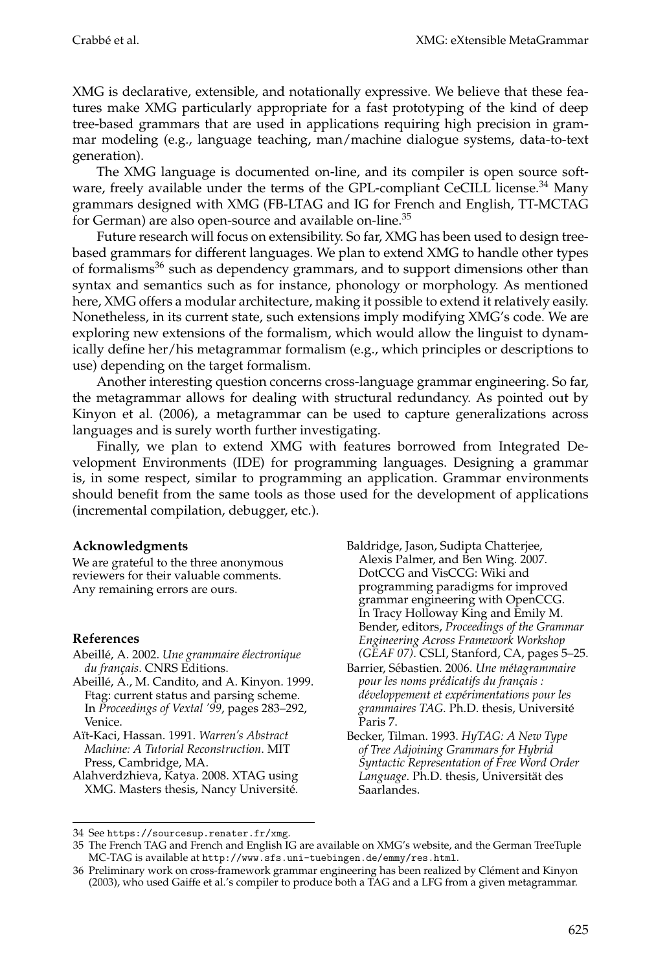XMG is declarative, extensible, and notationally expressive. We believe that these features make XMG particularly appropriate for a fast prototyping of the kind of deep tree-based grammars that are used in applications requiring high precision in grammar modeling (e.g., language teaching, man/machine dialogue systems, data-to-text generation).

The XMG language is documented on-line, and its compiler is open source software, freely available under the terms of the GPL-compliant CeCILL license.<sup>34</sup> Many grammars designed with XMG (FB-LTAG and IG for French and English, TT-MCTAG for German) are also open-source and available on-line.<sup>35</sup>

Future research will focus on extensibility. So far, XMG has been used to design treebased grammars for different languages. We plan to extend XMG to handle other types of formalisms $36$  such as dependency grammars, and to support dimensions other than syntax and semantics such as for instance, phonology or morphology. As mentioned here, XMG offers a modular architecture, making it possible to extend it relatively easily. Nonetheless, in its current state, such extensions imply modifying XMG's code. We are exploring new extensions of the formalism, which would allow the linguist to dynamically define her/his metagrammar formalism (e.g., which principles or descriptions to use) depending on the target formalism.

Another interesting question concerns cross-language grammar engineering. So far, the metagrammar allows for dealing with structural redundancy. As pointed out by Kinyon et al. (2006), a metagrammar can be used to capture generalizations across languages and is surely worth further investigating.

Finally, we plan to extend XMG with features borrowed from Integrated Development Environments (IDE) for programming languages. Designing a grammar is, in some respect, similar to programming an application. Grammar environments should benefit from the same tools as those used for the development of applications (incremental compilation, debugger, etc.).

## **Acknowledgments**

We are grateful to the three anonymous reviewers for their valuable comments. Any remaining errors are ours.

## **References**

- Abeillé, A. 2002. Une grammaire électronique *du fran¸cais*. CNRS Editions.
- Abeille, A., M. Candito, and A. Kinyon. 1999. ´ Ftag: current status and parsing scheme. In *Proceedings of Vextal '99*, pages 283–292, Venice.
- A¨ıt-Kaci, Hassan. 1991. *Warren's Abstract Machine: A Tutorial Reconstruction*. MIT Press, Cambridge, MA.
- Alahverdzhieva, Katya. 2008. XTAG using XMG. Masters thesis, Nancy Universite.´

Baldridge, Jason, Sudipta Chatterjee, Alexis Palmer, and Ben Wing. 2007. DotCCG and VisCCG: Wiki and programming paradigms for improved grammar engineering with OpenCCG. In Tracy Holloway King and Emily M. Bender, editors, *Proceedings of the Grammar Engineering Across Framework Workshop (GEAF 07)*. CSLI, Stanford, CA, pages 5–25.

- Barrier, Sébastien. 2006. Une métagrammaire *pour les noms pr´edicatifs du fran¸cais : d´eveloppement et exp´erimentations pour les grammaires TAG*. Ph.D. thesis, Universite´ Paris 7.
- Becker, Tilman. 1993. *HyTAG: A New Type of Tree Adjoining Grammars for Hybrid Syntactic Representation of Free Word Order Language*. Ph.D. thesis, Universität des Saarlandes.

<sup>34</sup> See https://sourcesup.renater.fr/xmg.

<sup>35</sup> The French TAG and French and English IG are available on XMG's website, and the German TreeTuple MC-TAG is available at http://www.sfs.uni-tuebingen.de/emmy/res.html.

<sup>36</sup> Preliminary work on cross-framework grammar engineering has been realized by Clément and Kinyon (2003), who used Gaiffe et al.'s compiler to produce both a TAG and a LFG from a given metagrammar.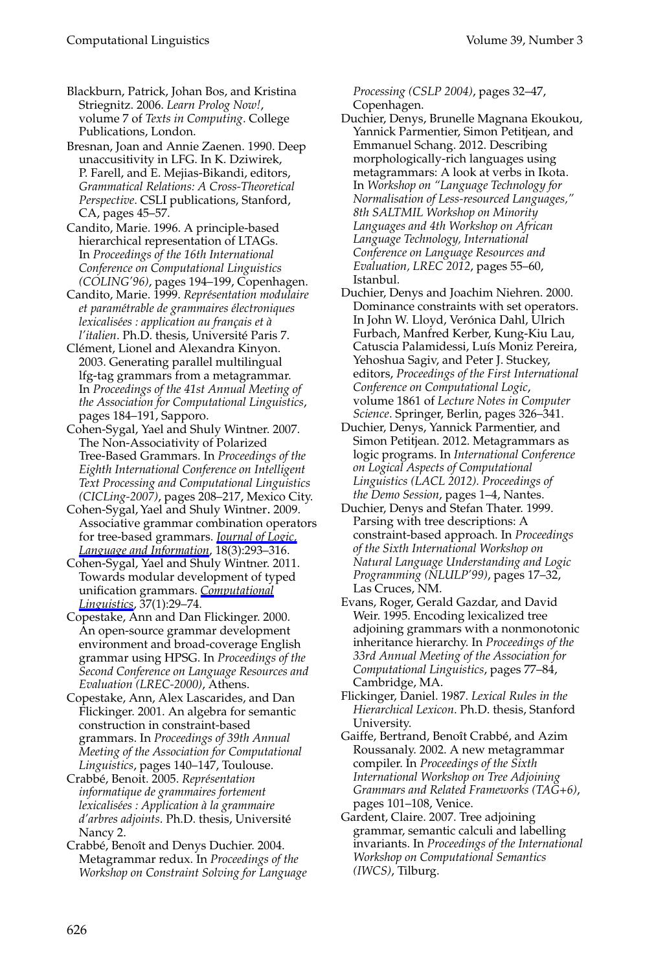#### Computational Linguistics Volume 39, Number 3

- Blackburn, Patrick, Johan Bos, and Kristina Striegnitz. 2006. *Learn Prolog Now!*, volume 7 of *Texts in Computing*. College Publications, London.
- Bresnan, Joan and Annie Zaenen. 1990. Deep unaccusitivity in LFG. In K. Dziwirek, P. Farell, and E. Mejias-Bikandi, editors, *Grammatical Relations: A Cross-Theoretical Perspective*. CSLI publications, Stanford, CA, pages 45–57.
- Candito, Marie. 1996. A principle-based hierarchical representation of LTAGs. In *Proceedings of the 16th International Conference on Computational Linguistics (COLING'96)*, pages 194–199, Copenhagen.
- Candito, Marie. 1999. *Repr´esentation modulaire et param´etrable de grammaires ´electroniques lexicalisées : application au français et à l'italien*. Ph.D. thesis, Universite Paris 7. ´
- Clément, Lionel and Alexandra Kinyon. 2003. Generating parallel multilingual lfg-tag grammars from a metagrammar. In *Proceedings of the 41st Annual Meeting of the Association for Computational Linguistics*, pages 184–191, Sapporo.
- Cohen-Sygal, Yael and Shuly Wintner. 2007. The Non-Associativity of Polarized Tree-Based Grammars. In *Proceedings of the Eighth International Conference on Intelligent Text Processing and Computational Linguistics (CICLing-2007)*, pages 208–217, Mexico City.
- Cohen-Sygal, Yael and Shuly Wintner. 2009. Associative grammar combination operators for tree-based grammars. *Journal of Logic, Language and Information*, 18(3):293–316.
- Cohen-Sygal, Yael and Shuly Wintner. 2011. Towards modular development of typed unification grammars. *Computational Linguistics*, 37(1):29–74.
- Copestake, Ann and Dan Flickinger. 2000. An open-source grammar development environment and broad-coverage English grammar using HPSG. In *Proceedings of the Second Conference on Language Resources and Evaluation (LREC-2000)*, Athens.
- Copestake, Ann, Alex Lascarides, and Dan Flickinger. 2001. An algebra for semantic construction in constraint-based grammars. In *Proceedings of 39th Annual Meeting of the Association for Computational Linguistics*, pages 140–147, Toulouse.
- Crabbé, Benoit. 2005. Représentation *informatique de grammaires fortement lexicalis´ees : Application `a la grammaire d'arbres adjoints*. Ph.D. thesis, Universite´ Nancy 2.
- Crabbé, Benoît and Denys Duchier. 2004. Metagrammar redux. In *Proceedings of the Workshop on Constraint Solving for Language*

*Processing (CSLP 2004)*, pages 32–47, Copenhagen.

- Duchier, Denys, Brunelle Magnana Ekoukou, Yannick Parmentier, Simon Petitjean, and Emmanuel Schang. 2012. Describing morphologically-rich languages using metagrammars: A look at verbs in Ikota. In *Workshop on "Language Technology for Normalisation of Less-resourced Languages," 8th SALTMIL Workshop on Minority Languages and 4th Workshop on African Language Technology, International Conference on Language Resources and Evaluation, LREC 2012*, pages 55–60, Istanbul.
- Duchier, Denys and Joachim Niehren. 2000. Dominance constraints with set operators. In John W. Lloyd, Verónica Dahl, Ulrich Furbach, Manfred Kerber, Kung-Kiu Lau, Catuscia Palamidessi, Luís Moniz Pereira, Yehoshua Sagiv, and Peter J. Stuckey, editors, *Proceedings of the First International Conference on Computational Logic*, volume 1861 of *Lecture Notes in Computer Science*. Springer, Berlin, pages 326–341.
- Duchier, Denys, Yannick Parmentier, and Simon Petitjean. 2012. Metagrammars as logic programs. In *International Conference on Logical Aspects of Computational Linguistics (LACL 2012). Proceedings of the Demo Session*, pages 1–4, Nantes.
- Duchier, Denys and Stefan Thater. 1999. Parsing with tree descriptions: A constraint-based approach. In *Proceedings of the Sixth International Workshop on Natural Language Understanding and Logic Programming (NLULP'99)*, pages 17–32, Las Cruces, NM.
- Evans, Roger, Gerald Gazdar, and David Weir. 1995. Encoding lexicalized tree adjoining grammars with a nonmonotonic inheritance hierarchy. In *Proceedings of the 33rd Annual Meeting of the Association for Computational Linguistics*, pages 77–84, Cambridge, MA.
- Flickinger, Daniel. 1987. *Lexical Rules in the Hierarchical Lexicon*. Ph.D. thesis, Stanford University.
- Gaiffe, Bertrand, Benoît Crabbé, and Azim Roussanaly. 2002. A new metagrammar compiler. In *Proceedings of the Sixth International Workshop on Tree Adjoining Grammars and Related Frameworks (TAG+6)*, pages 101–108, Venice.
- Gardent, Claire. 2007. Tree adjoining grammar, semantic calculi and labelling invariants. In *Proceedings of the International Workshop on Computational Semantics (IWCS)*, Tilburg.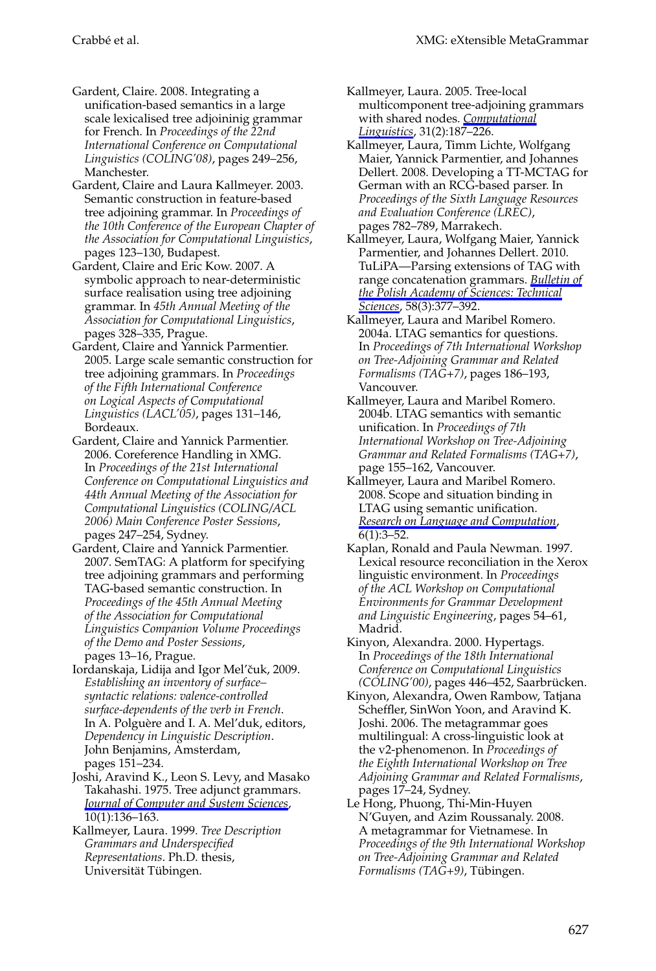- Gardent, Claire. 2008. Integrating a unification-based semantics in a large scale lexicalised tree adjoininig grammar for French. In *Proceedings of the 22nd International Conference on Computational Linguistics (COLING'08)*, pages 249–256, Manchester.
- Gardent, Claire and Laura Kallmeyer. 2003. Semantic construction in feature-based tree adjoining grammar. In *Proceedings of the 10th Conference of the European Chapter of the Association for Computational Linguistics*, pages 123–130, Budapest.
- Gardent, Claire and Eric Kow. 2007. A symbolic approach to near-deterministic surface realisation using tree adjoining grammar. In *45th Annual Meeting of the Association for Computational Linguistics*, pages 328–335, Prague.
- Gardent, Claire and Yannick Parmentier. 2005. Large scale semantic construction for tree adjoining grammars. In *Proceedings of the Fifth International Conference on Logical Aspects of Computational Linguistics (LACL'05)*, pages 131–146, Bordeaux.
- Gardent, Claire and Yannick Parmentier. 2006. Coreference Handling in XMG. In *Proceedings of the 21st International Conference on Computational Linguistics and 44th Annual Meeting of the Association for Computational Linguistics (COLING/ACL 2006) Main Conference Poster Sessions*, pages 247–254, Sydney.
- Gardent, Claire and Yannick Parmentier. 2007. SemTAG: A platform for specifying tree adjoining grammars and performing TAG-based semantic construction. In *Proceedings of the 45th Annual Meeting of the Association for Computational Linguistics Companion Volume Proceedings of the Demo and Poster Sessions*, pages 13–16, Prague.
- Iordanskaja, Lidija and Igor Mel'čuk, 2009. *Establishing an inventory of surface– syntactic relations: valence-controlled surface-dependents of the verb in French*. In A. Polguère and I. A. Mel'duk, editors, *Dependency in Linguistic Description*. John Benjamins, Amsterdam, pages 151–234.
- Joshi, Aravind K., Leon S. Levy, and Masako Takahashi. 1975. Tree adjunct grammars. *Journal of Computer and System Sciences*, 10(1):136–163.
- Kallmeyer, Laura. 1999. *Tree Description Grammars and Underspecified Representations*. Ph.D. thesis, Universität Tübingen.
- Crabbe et al. XMG: eXtensible MetaGrammar ´
	- Kallmeyer, Laura. 2005. Tree-local multicomponent tree-adjoining grammars with shared nodes. *Computational Linguistics*, 31(2):187–226.
	- Kallmeyer, Laura, Timm Lichte, Wolfgang Maier, Yannick Parmentier, and Johannes Dellert. 2008. Developing a TT-MCTAG for German with an RCG-based parser. In *Proceedings of the Sixth Language Resources and Evaluation Conference (LREC)*, pages 782–789, Marrakech.
	- Kallmeyer, Laura, Wolfgang Maier, Yannick Parmentier, and Johannes Dellert. 2010. TuLiPA—Parsing extensions of TAG with range concatenation grammars. *Bulletin of the Polish Academy of Sciences: Technical Sciences*, 58(3):377–392.
	- Kallmeyer, Laura and Maribel Romero. 2004a. LTAG semantics for questions. In *Proceedings of 7th International Workshop on Tree-Adjoining Grammar and Related Formalisms (TAG+7)*, pages 186–193, Vancouver.
	- Kallmeyer, Laura and Maribel Romero. 2004b. LTAG semantics with semantic unification. In *Proceedings of 7th International Workshop on Tree-Adjoining Grammar and Related Formalisms (TAG+7)*, page 155–162, Vancouver.
	- Kallmeyer, Laura and Maribel Romero. 2008. Scope and situation binding in LTAG using semantic unification. *Research on Language and Computation*,  $6(1):3-52.$
	- Kaplan, Ronald and Paula Newman. 1997. Lexical resource reconciliation in the Xerox linguistic environment. In *Proceedings of the ACL Workshop on Computational Environments for Grammar Development and Linguistic Engineering*, pages 54–61, Madrid.
	- Kinyon, Alexandra. 2000. Hypertags. In *Proceedings of the 18th International Conference on Computational Linguistics (COLING'00)*, pages 446–452, Saarbrucken. ¨
	- Kinyon, Alexandra, Owen Rambow, Tatjana Scheffler, SinWon Yoon, and Aravind K. Joshi. 2006. The metagrammar goes multilingual: A cross-linguistic look at the v2-phenomenon. In *Proceedings of the Eighth International Workshop on Tree Adjoining Grammar and Related Formalisms*, pages 17–24, Sydney.
	- Le Hong, Phuong, Thi-Min-Huyen N'Guyen, and Azim Roussanaly. 2008. A metagrammar for Vietnamese. In *Proceedings of the 9th International Workshop on Tree-Adjoining Grammar and Related Formalisms (TAG+9)*, Tübingen.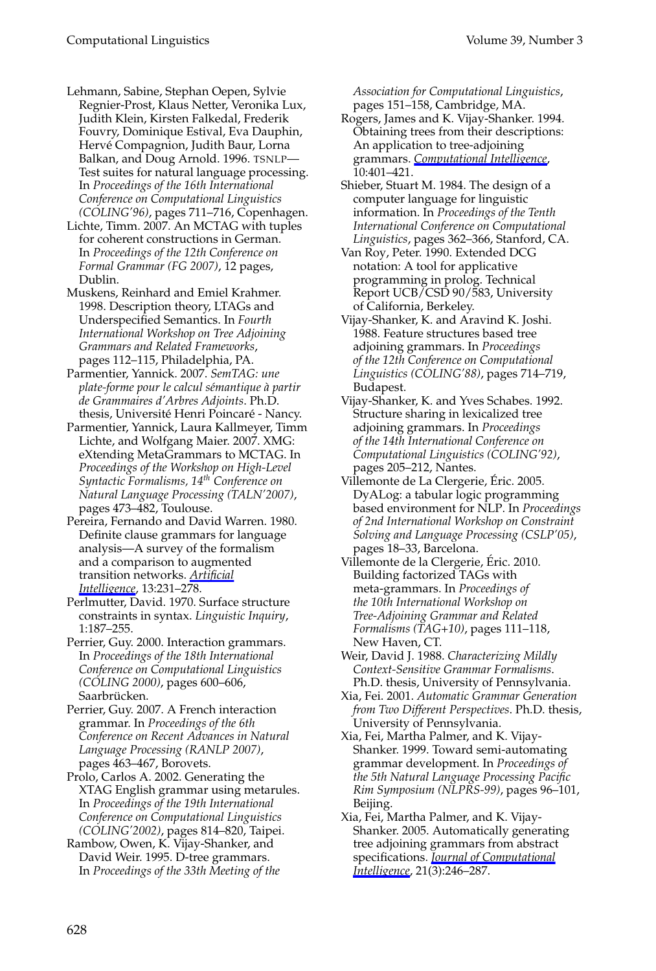#### Computational Linguistics Volume 39, Number 3

- Lehmann, Sabine, Stephan Oepen, Sylvie Regnier-Prost, Klaus Netter, Veronika Lux, Judith Klein, Kirsten Falkedal, Frederik Fouvry, Dominique Estival, Eva Dauphin, Hervé Compagnion, Judith Baur, Lorna Balkan, and Doug Arnold. 1996. TSNLP— Test suites for natural language processing. In *Proceedings of the 16th International Conference on Computational Linguistics (COLING'96)*, pages 711–716, Copenhagen.
- Lichte, Timm. 2007. An MCTAG with tuples for coherent constructions in German. In *Proceedings of the 12th Conference on Formal Grammar (FG 2007)*, 12 pages, Dublin.
- Muskens, Reinhard and Emiel Krahmer. 1998. Description theory, LTAGs and Underspecified Semantics. In *Fourth International Workshop on Tree Adjoining Grammars and Related Frameworks*, pages 112–115, Philadelphia, PA.
- Parmentier, Yannick. 2007. *SemTAG: une plate-forme pour le calcul s´emantique `a partir de Grammaires d'Arbres Adjoints*. Ph.D. thesis, Université Henri Poincaré - Nancy.
- Parmentier, Yannick, Laura Kallmeyer, Timm Lichte, and Wolfgang Maier. 2007. XMG: eXtending MetaGrammars to MCTAG. In *Proceedings of the Workshop on High-Level Syntactic Formalisms, 14th Conference on Natural Language Processing (TALN'2007)*, pages 473–482, Toulouse.
- Pereira, Fernando and David Warren. 1980. Definite clause grammars for language analysis—A survey of the formalism and a comparison to augmented transition networks. *Artificial Intelligence*, 13:231–278.
- Perlmutter, David. 1970. Surface structure constraints in syntax. *Linguistic Inquiry*, 1:187–255.
- Perrier, Guy. 2000. Interaction grammars. In *Proceedings of the 18th International Conference on Computational Linguistics (COLING 2000)*, pages 600–606, Saarbrücken.
- Perrier, Guy. 2007. A French interaction grammar. In *Proceedings of the 6th Conference on Recent Advances in Natural Language Processing (RANLP 2007)*, pages 463–467, Borovets.
- Prolo, Carlos A. 2002. Generating the XTAG English grammar using metarules. In *Proceedings of the 19th International Conference on Computational Linguistics (COLING'2002)*, pages 814–820, Taipei.
- Rambow, Owen, K. Vijay-Shanker, and David Weir. 1995. D-tree grammars. In *Proceedings of the 33th Meeting of the*

*Association for Computational Linguistics*, pages 151–158, Cambridge, MA.

- Rogers, James and K. Vijay-Shanker. 1994. Obtaining trees from their descriptions: An application to tree-adjoining grammars. *Computational Intelligence*, 10:401–421.
- Shieber, Stuart M. 1984. The design of a computer language for linguistic information. In *Proceedings of the Tenth International Conference on Computational Linguistics*, pages 362–366, Stanford, CA.
- Van Roy, Peter. 1990. Extended DCG notation: A tool for applicative programming in prolog. Technical Report UCB/CSD 90/583, University of California, Berkeley.
- Vijay-Shanker, K. and Aravind K. Joshi. 1988. Feature structures based tree adjoining grammars. In *Proceedings of the 12th Conference on Computational Linguistics (COLING'88)*, pages 714–719, Budapest.
- Vijay-Shanker, K. and Yves Schabes. 1992. Structure sharing in lexicalized tree adjoining grammars. In *Proceedings of the 14th International Conference on Computational Linguistics (COLING'92)*, pages 205–212, Nantes.
- Villemonte de La Clergerie, Eric. 2005. ´ DyALog: a tabular logic programming based environment for NLP. In *Proceedings of 2nd International Workshop on Constraint Solving and Language Processing (CSLP'05)*, pages 18–33, Barcelona.
- Villemonte de la Clergerie, Eric. 2010. ´ Building factorized TAGs with meta-grammars. In *Proceedings of the 10th International Workshop on Tree-Adjoining Grammar and Related Formalisms (TAG+10)*, pages 111–118, New Haven, CT.
- Weir, David J. 1988. *Characterizing Mildly Context-Sensitive Grammar Formalisms*. Ph.D. thesis, University of Pennsylvania.
- Xia, Fei. 2001. *Automatic Grammar Generation from Two Different Perspectives*. Ph.D. thesis, University of Pennsylvania.
- Xia, Fei, Martha Palmer, and K. Vijay-Shanker. 1999. Toward semi-automating grammar development. In *Proceedings of the 5th Natural Language Processing Pacific Rim Symposium (NLPRS-99)*, pages 96–101, Beijing.
- Xia, Fei, Martha Palmer, and K. Vijay-Shanker. 2005. Automatically generating tree adjoining grammars from abstract specifications. *Journal of Computational Intelligence*, 21(3):246–287.